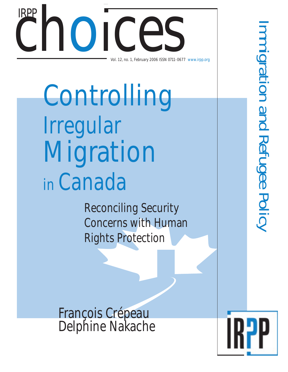# Choice Ces Vol. 12, no. 1, February 2006 ISSN 0711-0677 www.irpp.org IRPP

Controlling Irregular Migration in Canada

> Reconciling Security Concerns with Human Rights Protection

François Crépeau Delphine Nakache

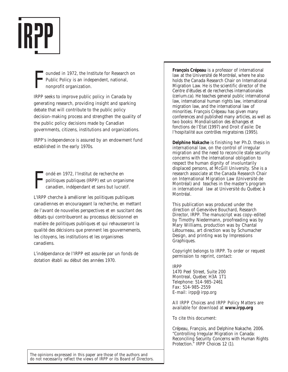

F ounded in 1972, the Institute for Research on Public Policy is an independent, national, nonprofit organization.

IRPP seeks to improve public policy in Canada by generating research, providing insight and sparking debate that will contribute to the public policy decision-making process and strengthen the quality of the public policy decisions made by Canadian governments, citizens, institutions and organizations.

IRPP's independence is assured by an endowment fund established in the early 1970s.

F ondé en 1972, l'Institut de recherche en politiques publiques (IRPP) est un organisme canadien, indépendant et sans but lucratif.

L'IRPP cherche à améliorer les politiques publiques canadiennes en encourageant la recherche, en mettant de l'avant de nouvelles perspectives et en suscitant des débats qui contribueront au processus décisionnel en matière de politiques publiques et qui rehausseront la qualité des décisions que prennent les gouvernements, les citoyens, les institutions et les organismes canadiens.

L'indépendance de l'IRPP est assurée par un fonds de dotation établi au début des années 1970.

**François Crépeau** is a professor of international law at the Université de Montréal, where he also holds the Canada Research Chair on International Migration Law. He is the scientific director of the Centre d'études et de recherches internationales (cerium.ca). He teaches general public international law, international human rights law, international migration law, and the international law of minorities. François Crépeau has given many conferences and published many articles, as well as two books: *Mondialisation des échanges et fonctions de l'État* (1997) and *Droit d'asile: De l'hospitalité aux contrôles migratoires* (1995).

**Delphine Nakache** is finishing her Ph.D. thesis in international law, on the control of irregular migration and the need to reconcile state security concerns with the international obligation to respect the human dignity of involuntarily displaced persons, at McGill University. She is a research associate at the Canada Research Chair on International Migration Law (Université de Montréal) and teaches in the master's program in international law at Université du Québec à Montréal.

This publication was produced under the direction of Geneviève Bouchard, Research Director, IRPP. The manuscript was copy-edited by Timothy Niedermann, proofreading was by Mary Williams, production was by Chantal Létourneau, art direction was by Schumacher Design, and printing was by Impressions Graphiques.

Copyright belongs to IRPP. To order or request permission to reprint, contact:

#### IRPP

1470 Peel Street, Suite 200 Montreal, Quebec H3A 1T1 Telephone: 514-985-2461 Fax: 514-985-2559 E-mail: irpp@irpp.org

All *IRPP Choices* and *IRPP Policy Matters* are available for download at **www.irpp.org**

To cite this document:

Crépeau, François, and Delphine Nakache. 2006. "Controlling Irregular Migration in Canada: Reconciling Security Concerns with Human Rights Protection." *IRPP Choices* 12 (1).

The opinions expressed in this paper are those of the authors and do not necessarily reflect the views of IRPP or its Board of Directors.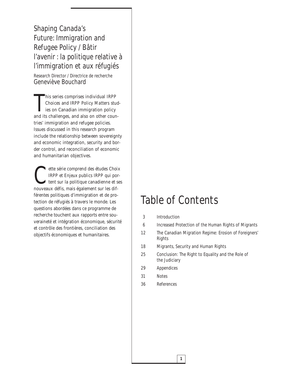Shaping Canada's Future: Immigration and Refugee Policy / Bâtir l'avenir : la politique relative à l'immigration et aux réfugiés

Research Director / Directrice de recherche Geneviève Bouchard

This series comprises individual IRPP<br>Choices and IRPP Policy Matters stud<br>ies on Canadian immigration policy<br>and its challenges, and also on other counhis series comprises individual *IRPP Choices* and *IRPP Policy Matters* studies on Canadian immigration policy tries' immigration and refugee policies. Issues discussed in this research program include the relationship between sovereignty and economic integration, security and border control, and reconciliation of economic and humanitarian objectives.

ette série comprend des études *Choix*<br> *IRPP* et *Enjeux publics IRPP* qui portent sur la politique canadienne et se<br>
pouveaux défis mais également sur les dif-*IRPP* et *Enjeux publics IRPP* qui portent sur la politique canadienne et ses nouveaux défis, mais également sur les différentes politiques d'immigration et de protection de réfugiés à travers le monde. Les questions abordées dans ce programme de recherche touchent aux rapports entre souveraineté et intégration économique, sécurité et contrôle des frontières, conciliation des objectifs économiques et humanitaires.

# Table of Contents

- 3 Introduction
- 6 Increased Protection of the Human Rights of Migrants
- 12 The Canadian Migration Regime: Erosion of Foreigners' Rights
- 18 Migrants, Security and Human Rights
- 25 Conclusion: The Right to Equality and the Role of the Judiciary
- 29 Appendices
- 31 Notes
- 36 References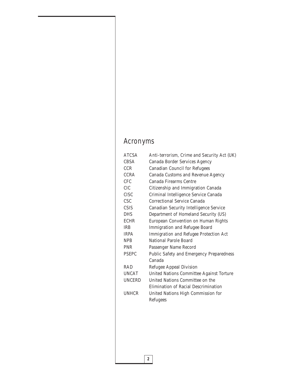# Acronyms

| <b>ATCSA</b>  | Anti-terrorism, Crime and Security Act (UK)   |  |  |  |
|---------------|-----------------------------------------------|--|--|--|
| <b>CBSA</b>   | Canada Border Services Agency                 |  |  |  |
| <b>CCR</b>    | <b>Canadian Council for Refugees</b>          |  |  |  |
| <b>CCRA</b>   | Canada Customs and Revenue Agency             |  |  |  |
| CFC           | Canada Firearms Centre                        |  |  |  |
| <b>CIC</b>    | Citizenship and Immigration Canada            |  |  |  |
| <b>CISC</b>   | Criminal Intelligence Service Canada          |  |  |  |
| <b>CSC</b>    | Correctional Service Canada                   |  |  |  |
| <b>CSIS</b>   | <b>Canadian Security Intelligence Service</b> |  |  |  |
| <b>DHS</b>    | Department of Homeland Security (US)          |  |  |  |
| <b>ECHR</b>   | European Convention on Human Rights           |  |  |  |
| <b>IRB</b>    | <b>Immigration and Refugee Board</b>          |  |  |  |
| <b>IRPA</b>   | Immigration and Refugee Protection Act        |  |  |  |
| <b>NPB</b>    | National Parole Board                         |  |  |  |
| <b>PNR</b>    | Passenger Name Record                         |  |  |  |
| <b>PSEPC</b>  | Public Safety and Emergency Preparedness      |  |  |  |
|               | Canada                                        |  |  |  |
| <b>RAD</b>    | Refugee Appeal Division                       |  |  |  |
| <b>UNCAT</b>  | United Nations Committee Against Torture      |  |  |  |
| <b>UNCERD</b> | United Nations Committee on the               |  |  |  |
|               | Elimination of Racial Descrimination          |  |  |  |
| <b>UNHCR</b>  | United Nations High Commission for            |  |  |  |
|               | Refugees                                      |  |  |  |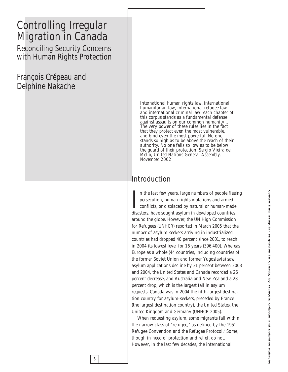# Controlling Irregular Migration in Canada Reconciling Security Concerns with Human Rights Protection

François Crépeau and Delphine Nakache

> International human rights law, international humanitarian law, international refugee law and international criminal law: each chapter of this corpus stands as a fundamental defense against assaults on our common humanity… The very power of these rules lies in the fact that they protect even the most vulnerable, and bind even the most powerful. No one stands so high as to be above the reach of their authority. No one falls so low as to be below the guard of their protection. *Sergio Vieira de Mello, United Nations General Assembly, November 2002*

# Introduction

In the last few years, large numbers of people flee<br>persecution, human rights violations and armed<br>conflicts, or displaced by natural or human-made<br>disasters, have sought asylum in developed countries n the last few years, large numbers of people fleeing persecution, human rights violations and armed conflicts, or displaced by natural or human-made around the globe. However, the UN High Commission for Refugees (UNHCR) reported in March 2005 that the number of asylum-seekers arriving in industrialized countries had dropped 40 percent since 2001, to reach in 2004 its lowest level for 16 years (396,400). Whereas Europe as a whole (44 countries, including countries of the former Soviet Union and former Yugoslavia) saw asylum applications decline by 21 percent between 2003 and 2004, the United States and Canada recorded a 26 percent decrease, and Australia and New Zealand a 28 percent drop, which is the largest fall in asylum requests. Canada was in 2004 the fifth-largest destination country for asylum-seekers, preceded by France (the largest destination country), the United States, the United Kingdom and Germany (UNHCR 2005).

When requesting asylum, some migrants fall within the narrow class of "refugee," as defined by the 1951 Refugee Convention and the Refugee Protocol.<sup>1</sup> Some, though in need of protection and relief, do not. However, in the last few decades, the international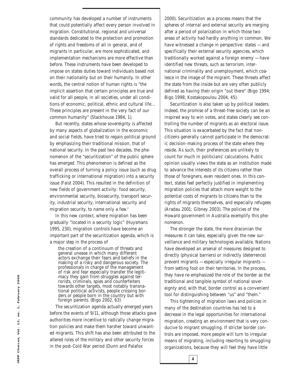community has developed a number of instruments that could potentially affect every person involved in migration. Constitutional, regional and universal standards dedicated to the protection and promotion of rights and freedoms of all in general, and of migrants in particular, are more sophisticated, and implementation mechanisms are more effective than before. These instruments have been developed to impose on states duties toward individuals based not on their nationality but on their humanity. In other words, the central notion of human rights is "the implicit assertion that certain principles are true and valid for all people, in all societies, under all conditions of economic, political, ethnic and cultural life… These principles are present in the very fact of our common humanity" (Stackhouse 1984, 1).

But recently, states whose sovereignty is affected by many aspects of globalization in the economic and social fields, have tried to regain political ground by emphasizing their traditional mission, that of national security. In the past two decades, the phenomenon of the "securitization" of the public sphere has emerged. This phenomenon is defined as the overall process of turning a policy issue (such as drug trafficking or international migration) into a security issue (Faist 2004). This resulted in the definition of new fields of government activity: food security, environmental security, biosecurity, transport security, industrial security, international security and migration security, to name only a few.<sup>2</sup>

In this new context, where migration has been gradually "located in a security logic" (Huysmans 1995, 230), migration controls have become an important part of the securitization agenda, which is a major step in the process of

the creation of a continuum of threats and general unease in which many different actors exchange their fears and beliefs in the making of a risky and dangerous society. The professionals in charge of the management of risk and fear especially transfer the legitimacy they gain from struggles against terrorists, criminals, spies and counterfeiters towards other targets, most notably transnational political activists, people crossing borders or people born in the country but with foreign parents. (Bigo 2002, 63)

The securitization agenda actually emerged years before the events of 9/11, although those attacks gave authorities more incentive to radically change migration policies and make them harsher toward unwanted migrants. This shift has also been attributed to the altered roles of the military and other security forces in the post-Cold War period (Dunn and Palafox

2000). Securitization as a process means that the spheres of *internal* and *external* security are merging after a period of polarization in which those two areas of activity had hardly anything in common. We have witnessed a change in perspective: states — and specifically their external security agencies, which traditionally worked against a foreign enemy — have identified new threats, such as terrorism, international criminality and unemployment, which coalesce in the image of the migrant. These threats affect the state from the inside but are very often publicly defined as having their origin "out there" (Bigo 1994; Bigo 1998; Kostakopoulou 2004, 45).

Securitization is also taken up by political leaders. Indeed, the promise of a threat-free society can be an inspired way to win votes, and states clearly see controlling the number of migrants as an electoral issue. This situation is exacerbated by the fact that noncitizens generally cannot participate in the democratic decision-making process of the state where they reside. As such, their preferences are unlikely to count for much in politicians' calculations. Public opinion usually views the state as an institution made to advance the interests of its citizens rather than those of foreigners, even resident ones. In this context, states feel perfectly justified in implementing migration policies that attach more weight to the potential costs of migrants to citizens than to the rights of migrants themselves, and especially refugees (Aradau 2001; Gibney 2003). The policies of the Howard government in Australia exemplify this phenomenon.

The stronger the state, the more draconian the measures it can take, especially given the new surveillance and military technologies available. Nations have developed an arsenal of measures designed to directly (physical barriers) or indirectly (deterrence) prevent migrants — especially irregular migrants from setting foot on their territories. In the process, they have re-emphasized the role of the border as the traditional and tangible symbol of national sovereignty and, with that, border control as a convenient tool for distinguishing between "us" and "them."

This tightening of migration laws and policies in many of the destination countries has led to a decrease in the legal opportunities for international migration, creating an environment that is very conducive to migrant smuggling. If stricter border controls are imposed, more people will turn to irregular means of migrating, including resorting to smuggling organizations, because they will feel they have little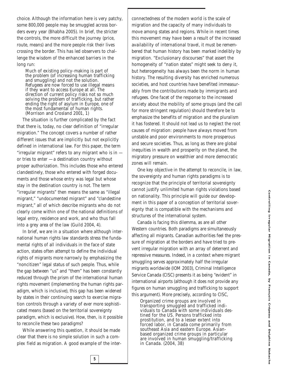choice. Although the information here is very patchy, some 800,000 people may be smuggled across borders every year (Bhabha 2005). In brief, the stricter the controls, the more difficult the journey (price, route, means) and the more people risk their lives crossing the border. This has led observers to challenge the wisdom of the enhanced barriers in the long run:

Much of existing policy-making is part of the problem (of increasing human trafficking and smuggling) and not the solution. Refugees are now forced to use illegal means if they want to access Europe at all. The direction of current policy risks not so much solving the problem of trafficking, but rather ending the right of asylum in Europe, one of the most fundamental of human rights. (Morrison and Crosland 2001, 1)

The situation is further complicated by the fact that there is, today, no clear definition of "irregular migration." The concept covers a number of rather different issues that are implicitly but not explicitly defined in international law. For this paper, the term "irregular migrant" refers to any migrant who is in or tries to enter  $-$  a destination country without proper authorization. This includes those who entered clandestinely, those who entered with forged documents and those whose entry was legal but whose stay in the destination country is not. The term "irregular migrants" then means the same as "illegal migrant," "undocumented migrant" and "clandestine migrant," all of which describe migrants who do not clearly come within one of the national definitions of legal entry, residence and work, and who thus fall into a grey area of the law (Guild 2004, 4).

In brief, we are in a situation where although international human rights law standards stress the fundamental rights of all individuals in the face of state action, states often attempt to define the individual rights of migrants more narrowly by emphasizing the "noncitizen" legal status of such people. Thus, while the gap between "us" and "them" has been constantly reduced through the prism of the international human rights movement (implementing the human rights paradigm, which is *inclusive*), this gap has been widened by states in their continuing search to exercise migration controls through a variety of ever more sophisticated means (based on the territorial sovereignty paradigm, which is *exclusive*). How, then, is it possible to reconcile these two paradigms?

While answering this question, it should be made clear that there is no simple solution in such a complex field as migration. A good example of the inter-

**5**

connectedness of the modern world is the scale of migration and the capacity of many individuals to move among states and regions. While in recent times this movement may have been a result of the increased availability of international travel, it must be remembered that human history has been marked indelibly by migration. "Exclusionary discourses" that assert the homogeneity of "nation states" might seek to deny it, but heterogeneity has always been the norm in human history. The resulting diversity has enriched numerous societies, and host countries have benefited immeasurably from the contributions made by immigrants and refugees. One facet of the response to the increased anxiety about the mobility of some groups (and the call for more stringent regulation) should therefore be to emphasize the benefits of migration and the pluralism it has fostered. It should not lead us to neglect the root causes of migration: people have always moved from unstable and poor environments to more prosperous and secure societies. Thus, as long as there are global inequities in wealth and prosperity on the planet, the migratory pressure on wealthier and more democratic zones will remain.

One key objective in the attempt to reconcile, in law, the sovereignty and human rights paradigms is to recognize that the principle of territorial sovereignty cannot justify unlimited human rights violations based on nationality. This principle will guide our development in this paper of a conception of territorial sovereignty that is compatible with the mechanisms and structures of the international system.

Canada is facing this dilemma, as are all other Western countries. Both paradigms are simultaneously affecting all migrants. Canadian authorities feel the pressure of migration at the borders and have tried to prevent irregular migration with an array of deterrent and repressive measures. Indeed, in a context where migrant smuggling serves approximately half the irregular migrants worldwide (IOM 2003), Criminal Intelligence Service Canada (CISC) presents it as being "evident" in international airports (although it does not provide any figures on human smuggling and trafficking to support this argument). More precisely, according to CISC,

Organized crime groups are involved in transporting smuggled and trafficked individuals to Canada with some individuals destined for the US. Persons trafficked into prostitution, and to a lesser extent into forced labor, in Canada come primarily from southeast Asia and eastern Europe. Asianbased organized crime groups in particular are involved in human smuggling/trafficking in Canada. (2004, 38)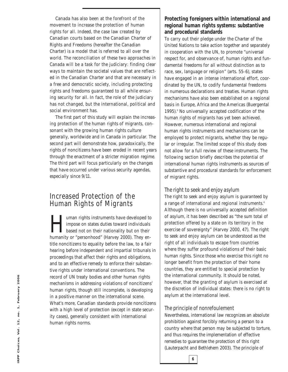Canada has also been at the forefront of the movement to increase the protection of human rights for all. Indeed, the case law created by Canadian courts based on the Canadian Charter of Rights and Freedoms (hereafter the Canadian Charter) is a model that is referred to all over the world. The reconciliation of these two approaches in Canada will be a task for the judiciary: finding clear ways to maintain the societal values that are reflected in the Canadian Charter and that are necessary in a free and democratic society, including protecting rights and freedoms guaranteed to all while ensuring security for all. In fact, the role of the judiciary has not changed, but the international, political and social environment has.

The first part of this study will explain the increasing protection of the human rights of migrants, consonant with the growing human rights culture generally, worldwide and in Canada in particular. The second part will demonstrate how, paradoxically, the rights of noncitizens have been eroded in recent years through the enactment of a stricter migration regime. The third part will focus particularly on the changes that have occurred under various security agendas, especially since 9/11.

# Increased Protection of the Human Rights of Migrants

lacktriangle uman rights instruments have developed to<br>impose on states duties toward individuals<br>based not on their nationality but on their<br>humanity or "personhood" (Harvey 2000). They enimpose on states duties toward individuals based not on their nationality but on their humanity or "personhood" (Harvey 2000). They entitle noncitizens to equality before the law, to a fair hearing before independent and impartial tribunals in proceedings that affect their rights and obligations, and to an effective remedy to enforce their substantive rights under international conventions. The record of UN treaty bodies and other human rights mechanisms in addressing violations of noncitizens' human rights, though still incomplete, is developing in a positive manner on the international scene. What's more, Canadian standards provide noncitizens with a high level of protection (except in state security cases), generally consistent with international human rights norms.

#### **Protecting foreigners within international and regional human rights systems: substantive and procedural standards**

To carry out their pledge under the Charter of the United Nations to take action together and separately in cooperation with the UN, to promote "universal respect for, and observance of, human rights and fundamental freedoms for all without distinction as to race, sex, language or religion" (arts. 55-6), states have engaged in an intense international effort, coordinated by the UN, to codify fundamental freedoms in numerous declarations and treaties. Human rights mechanisms have also been established on a regional basis in Europe, Africa and the Americas (Buergental 1995).<sup>3</sup> No universally accepted codification of the human rights of migrants has yet been achieved. However, numerous international and regional human rights instruments and mechanisms can be employed to protect migrants, whether they be regular or irregular. The limited scope of this study does not allow for a full review of these instruments. The following section briefly describes the potential of international human rights instruments as sources of substantive and procedural standards for enforcement of migrant rights.

#### *The right to seek and enjoy asylum*

The right to seek and enjoy asylum is guaranteed by a range of international and regional instruments.<sup>4</sup> Although there is no universally accepted definition of asylum, it has been described as "the sum total of protection offered by a state on its territory in the exercise of sovereignty" (Harvey 2000, 47). The right to seek and enjoy asylum can be understood as the right of all individuals to escape from countries where they suffer profound violations of their basic human rights. Since those who exercise this right no longer benefit from the protection of their home countries, they are entitled to special protection by the international community. It should be noted, however, that the granting of asylum is exercised at the discretion of individual states: there is no *right* to asylum at the international level.

#### *The principle of nonrefoulement*

Nevertheless, international law recognizes an absolute prohibition against forcibly returning a person to a country where that person may be subjected to torture, and thus requires the implementation of effective remedies to guarantee the protection of this right (Lauterpacht and Bethlehem 2003). The principle of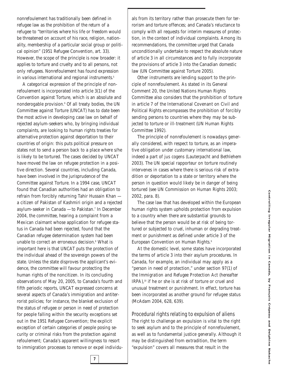nonrefoulement has traditionally been defined in refugee law as the prohibition of the return of a refugee to "territories where his life or freedom would be threatened on account of his race, religion, nationality, membership of a particular social group or political opinion" (1951 Refugee Convention, art. 33). However, the scope of the principle is now broader: it applies to torture and cruelty and to all persons, not only refugees. Nonrefoulement has found expression in various international and regional instruments.<sup>5</sup>

A categorical expression of the principle of nonrefoulement is incorporated into article 3(1) of the Convention against Torture, which is an absolute and nonderogable provision.<sup>6</sup> Of all treaty bodies, the UN Committee against Torture (UNCAT) has to date been the most active in developing case law on behalf of rejected asylum-seekers who, by bringing individual complaints, are looking to human rights treaties for alternative protection against deportation to their countries of origin: this puts political pressure on states not to send a person back to a place where s/he is likely to be tortured. The cases decided by UNCAT have moved the law on refugee protection in a positive direction. Several countries, including Canada, have been involved in the jurisprudence of the Committee against Torture. In a 1994 case, UNCAT found that Canadian authorities had an obligation to refrain from forcibly returning Tahir Hussain Khan a citizen of Pakistan of Kashmiri origin and a rejected asylum-seeker in Canada — to Pakistan.7 In December 2004, the committee, hearing a complaint from a Mexican claimant whose application for refugee status in Canada had been rejected, found that the Canadian refugee determination system had been unable to correct an erroneous decision.8 What is important here is that UNCAT puts the protection of the individual ahead of the sovereign powers of the state. Unless the state disproves the applicant's evidence, the committee will favour protecting the human rights of the noncitizen. In its concluding observations of May 20, 2005, to Canada's fourth and fifth periodic reports, UNCAT expressed concerns at several aspects of Canada's immigration and antiterrorist policies; for instance, the blanket exclusion of the status of refugee or person in need of protection for people falling within the security exceptions set out in the 1951 Refugee Convention; the explicit exception of certain categories of people posing security or criminal risks from the protection against refoulement; Canada's apparent willingness to resort to immigration processes to remove or expel individuals from its territory rather than prosecute them for terrorism and torture offences; and Canada's reluctance to comply with all requests for interim measures of protection, in the context of individual complaints. Among its recommendations, the committee urged that Canada unconditionally undertake to respect the absolute nature of article 3 in all circumstances and to fully incorporate the provisions of article 3 into the Canadian domestic law (UN Committee against Torture 2005).

Other instruments are lending support to the principle of nonrefoulement. As stated in its General Comment 20, the United Nations Human Rights Committee also considers that the prohibition of torture in article 7 of the International Covenant on Civil and Political Rights encompasses the prohibition of forcibly sending persons to countries where they may be subjected to torture or ill-treatment (UN Human Rights Committee 1992).

The principle of nonrefoulement is nowadays generally considered, with respect to torture, as an imperative obligation under customary international law, indeed a part of *jus cogens* (Lauterpacht and Bethlehem 2003). The UN special rapporteur on torture routinely intervenes in cases where there is serious risk of extradition or deportation to a state or territory where the person in question would likely be in danger of being tortured (see UN Commission on Human Rights 2003; 2002, para. 8).

The case law that has developed within the European human rights system upholds protection from expulsion to a country when there are substantial grounds to believe that the person would be at risk of being tortured or subjected to cruel, inhuman or degrading treatment or punishment as defined under article 3 of the European Convention on Human Rights*. 9*

At the domestic level, some states have incorporated the terms of article 3 into their asylum procedures. In Canada, for example, an individual may apply as a "person in need of protection," under section 97(1) of the *Immigration and Refugee Protection Act* (hereafter *IRPA*),<sup>10</sup> if he or she is at risk of torture or cruel and unusual treatment or punishment. In effect, torture has been incorporated as another ground for refugee status (McAdam 2004, 628, 639).

*Procedural rights relating to expulsion of aliens* The right to challenge an expulsion is vital to the right to seek asylum and to the principle of nonrefoulement, as well as to fundamental justice generally. Although it may be distinguished from extradition, the term "expulsion" covers all measures that result in the

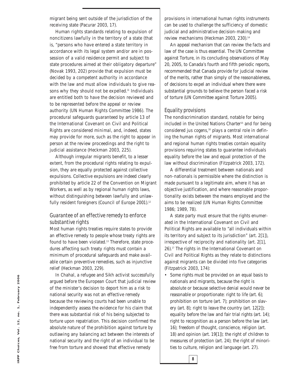migrant being sent outside of the jurisdiction of the receiving state (Pacurar 2003, 17).

Human rights standards relating to expulsion of noncitizens lawfully in the territory of a state (that is, "persons who have entered a state territory in accordance with its legal system and/or are in possession of a valid residence permit and subject to state procedures aimed at their obligatory departure" (Novak 1993, 202) provide that expulsion must be decided by a competent authority in accordance with the law and must allow individuals to give reasons why they should not be expelled.<sup>11</sup> Individuals are entitled both to have the decision reviewed and to be represented before the appeal or review authority (UN Human Rights Committee 1986). The procedural safeguards guaranteed by article 13 of the International Covenant on Civil and Political Rights are considered *minimal*, and, indeed, states may provide for more, such as the right to appear in person at the review proceedings and the right to judicial assistance (Heckman 2003, 225).

Although irregular migrants benefit, to a lesser extent, from the procedural rights relating to expulsion, they are equally protected against collective expulsions. Collective expulsions are indeed clearly prohibited by article 22 of the Convention on Migrant Workers, as well as by regional human rights laws, without distinguishing between lawfully and unlawfully resident foreigners (Council of Europe 2001).<sup>12</sup>

#### *Guarantee of an effective remedy to enforce substantive rights*

Most human rights treaties require states to provide an effective remedy to people whose treaty rights are found to have been violated.<sup>13</sup> Therefore, state procedures affecting such treaty rights must contain a minimum of procedural safeguards and make available certain preventive remedies, such as injunctive relief (Heckman 2003, 229).

In *Chahal*, a refugee and Sikh activist successfully argued before the European Court that judicial review of the minister's decision to deport him as a risk to national security was not an effective remedy because the reviewing courts had been unable to independently assess the evidence for his claim that there was substantial risk of his being subjected to torture upon repatriation. This decision confirmed the absolute nature of the prohibition against torture by outlawing any balancing act between the interests of national security and the right of an individual to be free from torture and showed that effective remedy

provisions in international human rights instruments can be used to challenge the sufficiency of domestic judicial and administrative decision-making and review mechanisms (Heckman 2003, 230).<sup>14</sup>

An appeal mechanism that can review the facts and law of the case is thus essential. The UN Committee against Torture, in its concluding observations of May 20, 2005, to Canada's fourth and fifth periodic reports, recommended that Canada provide for judicial review of the merits, rather than simply of the reasonableness, of decisions to expel an individual where there were substantial grounds to believe the person faced a risk of torture (UN Committee against Torture 2005).

#### *Equality provisions*

The nondiscrimination standard, notable for being included in the United Nations Charter<sup>15</sup> and for being considered *jus cogens,*<sup>16</sup> plays a central role in defining the human rights of migrants. Most international and regional human rights treaties contain equality provisions requiring states to guarantee individuals equality before the law and equal protection of the law without discrimination (Fitzpatrick 2003, 172).

A differential treatment between nationals and non-nationals is permissible where the distinction is made pursuant to a legitimate aim, where it has an objective justification, and where reasonable proportionality exists between the means employed and the aims to be realized (UN Human Rights Committee 1986; 1989, 78).

A state party must ensure that the rights enumerated in the International Covenant on Civil and Political Rights are available to "all individuals within its territory and subject to its jurisdiction" (art. 2[1]), irrespective of reciprocity and nationality (art. 2[1], 26).17 The rights in the International Covenant on Civil and Political Rights as they relate to distinctions against migrants can be divided into five categories (Fitzpatrick 2003, 174):

• Some rights must be provided on an equal basis to nationals and migrants, because the right is absolute or because selective denial would never be reasonable or proportionate: right to life (art. 6); prohibition on torture (art. 7); prohibition on slavery (art. 8); right to leave the country (art. 12[2]); equality before the law and fair trial rights (art. 14); right to recognition as a person before the law (art. 16); freedom of thought, conscience, religion (art. 18) and opinion (art. 19[1]); the right of children to measures of protection (art. 24); the right of minorities to culture, religion and language (art. 27).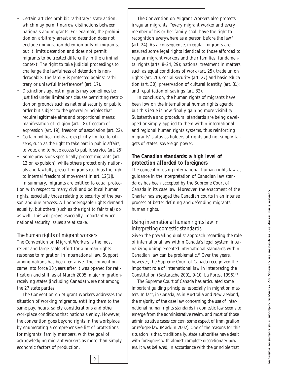- Certain articles prohibit "arbitrary" state action, which may permit narrow distinctions between nationals and migrants. For example, the prohibition on arbitrary arrest and detention does not exclude immigration detention only of migrants, but it limits detention and does not permit migrants to be treated differently in the criminal context. The right to take judicial proceedings to challenge the lawfulness of detention is nonderogable. The family is protected against "arbitrary or unlawful interference" (art. 17).
- Distinctions against migrants may sometimes be justified under limitations clauses permitting restriction on grounds such as national security or public order but subject to the general principles that require legitimate aims and proportional means: manifestation of religion (art. 18), freedom of expression (art. 19), freedom of association (art. 22).
- Certain political rights are explicitly limited to citizens, such as the right to take part in public affairs, to vote, and to have access to public service (art. 25).
- Some provisions specifically protect migrants (art. 13 on expulsion), while others protect only nationals and lawfully present migrants (such as the right to internal freedom of movement in art. 12[1]).

In summary, migrants are entitled to equal protection with respect to many civil and political human rights, especially those relating to security of the person and due process. All nonderogable rights demand equality, but others (such as the right to fair trial) do as well. This will prove especially important when national security issues are at stake.

#### *The human rights of migrant workers*

The Convention on Migrant Workers is the most recent and large-scale effort for a human rights response to migration in international law. Support among nations has been tentative. The convention came into force 13 years after it was opened for ratification and still, as of March 2005, major migrationreceiving states (including Canada) were not among the 27 state parties.

The Convention on Migrant Workers addresses the situation of working migrants, entitling them to the same pay, hours, safety considerations and other workplace conditions that nationals enjoy. However, the convention goes beyond rights in the workplace by enumerating a comprehensive list of protections for migrants' family members, with the goal of acknowledging migrant workers as more than simply economic factors of production.

The Convention on Migrant Workers also protects irregular migrants: "every migrant worker and every member of his or her family shall have the right to recognition everywhere as a person before the law" (art. 24). As a consequence, irregular migrants are ensured some legal rights identical to those afforded to regular migrant workers and their families: fundamental rights (arts. 8-24, 29); national treatment in matters such as equal conditions of work (art. 25), trade union rights (art. 26), social security (art. 27) and basic education (art. 30); preservation of cultural identity (art. 31); and repatriation of savings (art. 32).

In conclusion, the human rights of migrants have been low on the international human rights agenda, but this issue is now finally gaining more visibility. Substantive and procedural standards are being developed or simply applied to them within international and regional human rights systems, thus reinforcing migrants' status as holders of rights and not simply targets of states' sovereign power.

**The Canadian standards: a high level of protection afforded to foreigners** The concept of using international human rights law as guidance in the interpretation of Canadian law standards has been accepted by the Supreme Court of Canada in its case law. Moreover, the enactment of the Charter has engaged the Canadian courts in an intense process of better defining and defending migrants' human rights.

#### *Using international human rights law in interpreting domestic standards*

Given the prevailing dualist approach regarding the role of international law within Canada's legal system, internalizing unimplemented international standards within Canadian law can be problematic.<sup>18</sup> Over the years, however, the Supreme Court of Canada recognized the important role of international law in interpreting the Constitution (Bastarache 2001, 9-10; La Forest 1996).19

The Supreme Court of Canada has articulated some important guiding principles, especially in migration matters. In fact, in Canada, as in Australia and New Zealand, the majority of the case law concerning the use of international human rights standards in domestic law seems to emerge from the administrative realm, and most of those administrative cases concern some aspect of immigration or refugee law (Macklin 2002). One of the reasons for this situation is that, traditionally, state authorities have dealt with foreigners with almost complete discretionary powers. It was believed, in accordance with the principle that

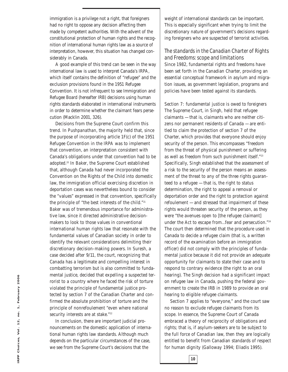immigration is a privilege not a right, that foreigners had no right to oppose any decision affecting them made by competent authorities. With the advent of the constitutional protection of human rights and the recognition of international human rights law as a source of interpretation, however, this situation has changed considerably in Canada.

A good example of this trend can be seen in the way international law is used to interpret Canada's *IRPA*, which itself contains the definition of "refugee" and the exclusion provisions found in the 1951 Refugee Convention. It is not infrequent to see Immigration and Refugee Board (hereafter IRB) decisions using human rights standards elaborated in international instruments in order to determine whether the claimant fears persecution (Macklin 2001, 326).

Decisions from the Supreme Court confirm this trend. In *Pushpanathan*, the majority held that, since the purpose of incorporating article 1F(c) of the 1951 Refugee Convention in the *IRPA* was to implement that convention, an interpretation consistent with Canada's obligations under that convention had to be adopted.20 In *Baker*, the Supreme Court established that, although Canada had never incorporated the Convention on the Rights of the Child into domestic law, the immigration official exercising discretion in deportation cases was nevertheless bound to consider the "values" expressed in that convention, specifically the principle of "the best interests of the child."21 *Baker* was of tremendous importance for administrative law, since it directed administrative decisionmakers to look to those values in conventional international human rights law that resonate with the fundamental values of Canadian society in order to identify the relevant considerations delimiting their discretionary decision-making powers. In *Suresh*, a case decided after 9/11, the court, recognizing that Canada has a legitimate and compelling interest in combatting terrorism but is also committed to fundamental justice, decided that expelling a suspected terrorist to a country where he faced the risk of torture violated the principle of fundamental justice protected by section 7 of the Canadian Charter and confirmed the absolute prohibition of torture and the principle of nonrefoulement "even where national security interests are at stake."<sup>22</sup>

In conclusion, there are important judicial pronouncements on the domestic application of international human rights law standards. Although much depends on the particular circumstances of the case, we see from the Supreme Court's decisions that the

weight of international standards can be important. This is especially significant when trying to limit the discretionary nature of government's decisions regarding foreigners who are suspected of terrorist activities.

#### *The standards in the Canadian Charter of Rights and Freedoms: scope and limitations*

Since 1982, fundamental rights and freedoms have been set forth in the Canadian Charter, providing an essential conceptual framework in asylum and migration issues, as government legislation, programs and policies have been tested against its standards.

*Section 7: fundamental justice is owed to foreigners* The Supreme Court, in *Singh,* held that refugee claimants — that is, claimants who are neither citizens nor permanent residents of Canada — are entitled to claim the protection of section 7 of the Charter, which provides that everyone should enjoy security of the person. This encompasses "freedom from the threat of physical punishment or suffering as well as freedom from such punishment itself."23 Specifically, *Singh* established that the assessment of a risk to the security of the person means an assessment of the threat to any of the three rights guaranteed to a refugee — that is, the right to status determination, the right to appeal a removal or deportation order and the right to protection against refoulement — and stressed that impairment of these rights would threaten security of the person, as they were "the avenues open to [the refugee claimant] under the Act to escape from…fear and persecution."24 The court then determined that the procedure used in Canada to decide a refugee claim (that is, a written record of the examination before an immigration officer) did not comply with the principles of fundamental justice because it did not provide an adequate opportunity for claimants to state their case and to respond to contrary evidence (the right to an oral hearing). The *Singh* decision had a significant impact on refugee law in Canada, pushing the federal government to create the IRB in 1989 to provide an oral hearing to eligible refugee claimants.

Section 7 applies to "everyone," and the court saw no reason to exclude refugee claimants from its scope. In essence, the Supreme Court of Canada embraced a theory of reciprocity of obligations and rights; that is, if asylum-seekers are to be subject to the full force of Canadian law, then they are logically entitled to benefit from Canadian standards of respect for human dignity (Galloway 1994; Eliadis 1995).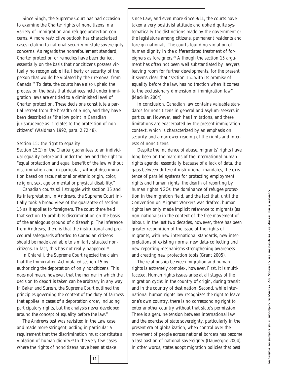Since *Singh*, the Supreme Court has had occasion to examine the Charter rights of noncitizens in a variety of immigration and refugee protection concerns. A more restrictive outlook has characterized cases relating to national security or state sovereignty concerns. As regards the nonrefoulement standard, Charter protection or remedies have been denied, essentially on the basis that noncitizens possess virtually no recognizable life, liberty or security of the person that would be violated by their removal from Canada.25 To date, the courts have also upheld the process on the basis that detainees held under immigration laws are entitled to a diminished level of Charter protection. These decisions constitute a partial retreat from the breadth of *Singh*, and they have been described as "the low point in Canadian jurisprudence as it relates to the protection of noncitizens" (Waldman 1992, para. 2.72.48).

#### *Section 15: the right to equality*

Section 15(1) of the Charter guarantees to an individual equality before and under the law and the right to "equal protection and equal benefit of the law without discrimination and, in particular, without discrimination based on race, national or ethnic origin, color, religion, sex, age or mental or physical disability."

Canadian courts still struggle with section 15 and its interpretation. In *Andrews*, the Supreme Court initially took a broad view of the guarantee of section 15 as it applies to foreigners. The court there held that section 15 prohibits discrimination on the basis of the analogous ground of citizenship. The inference from *Andrews,* then, is that the institutional and procedural safeguards afforded to Canadian citizens should be made available to similarly situated noncitizens. In fact, this has not really happened.<sup>26</sup>

In *Chiarelli*, the Supreme Court rejected the claim that the *Immigration Act* violated section 15 by authorizing the deportation of only noncitizens. This does not mean, however, that the manner in which the decision to deport is taken can be arbitrary in any way. In *Baker* and *Suresh*, the Supreme Court outlined the principles governing the content of the duty of fairness that applies in cases of a deportation order, including participatory rights, but the analysis never developed around the concept of equality before the law.27

The *Andrews* test was revisited in the *Law* case and made more stringent, adding in particular a requirement that the discrimination must constitute a violation of human dignity.<sup>28</sup> In the very few cases where the rights of noncitizens have been at stake

since *Law*, and even more since 9/11, the courts have taken a very positivist attitude and upheld quite systematically the distinctions made by the government or the legislature among citizens, permanent residents and foreign nationals. The courts found no violation of human dignity in the differentiated treatment of foreigners as foreigners.<sup>29</sup> Although the section 15 argument has often not been well substantiated by lawyers, leaving room for further developments, for the present it seems clear that "section 15…with its promise of equality before the law, has no traction when it comes to the exclusionary dimension of immigration law" (Macklin 2004).

In conclusion, Canadian law contains valuable standards for noncitizens in general and asylum-seekers in particular. However, each has limitations, and these limitations are exacerbated by the present immigration context, which is characterized by an emphasis on security and a narrower reading of the rights and interests of noncitizens.

Despite the incidence of abuse, migrants' rights have long been on the margins of the international human rights agenda, essentially because of a lack of data, the gaps between different institutional mandates, the existence of parallel systems for protecting employment rights and human rights, the dearth of reporting by human rights NGOs, the dominance of refugee protection in the migration field, and the fact that, until the Convention on Migrant Workers was drafted, human rights law only made implicit reference to migrants (as non-nationals) in the context of the free movement of labour. In the last two decades, however, there has been greater recognition of the issue of the rights of migrants, with new international standards, new interpretations of existing norms, new data-collecting and new reporting mechanisms strengthening awareness and creating new protection tools (Grant 2005).

The relationship between migration and human rights is extremely complex, however. First, it is multifaceted. Human rights issues arise at all stages of the migration cycle: in the country of origin, during transit and in the country of destination. Second, while international human rights law recognizes the right to leave one's own country, there is no corresponding right to enter another country without that state's permission. There is a genuine tension between international law and the exercise of state sovereignty, particularly in the present era of globalization, when control over the movement of people across national borders has become a last bastion of national sovereignty (Dauvergne 2004). In other words, states adopt migration policies that best

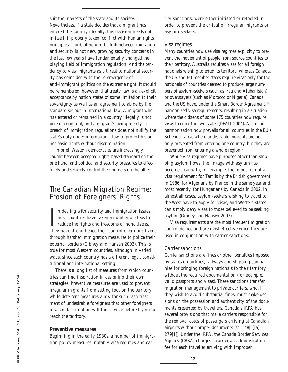suit the interests of the state and its society. Nevertheless, if a state decides that a migrant has entered the country illegally, this decision needs not, in itself, if properly taken, conflict with human rights principles. Third, although the link between migration and security is not new, growing security concerns in the last few years have fundamentally changed the playing field of immigration regulation. And the tendency to view migrants as a threat to national security has coincided with the re-emergence of anti-immigrant politics on the extreme right. It should be remembered, however, that treaty law is an explicit acceptance by nation states of some limitation to their sovereignty as well as an agreement to abide by the standard set out in international law. A migrant who has entered or remained in a country illegally is not per se a criminal, and a migrant's being merely in breach of immigration regulations does not nullify the state's duty under international law to protect his or her basic rights without discrimination.

In brief, Western democracies are increasingly caught between accepted rights-based standard on the one hand, and political and security pressures to effectively and securely control their borders on the other.

# The Canadian Migration Regime: Erosion of Foreigners' Rights

In dealing with security and immigration issues,<br>host countries have taken a number of steps to<br>reduce the rights and freedoms of noncitizens.<br>They have strengthened their control over noncitizens n dealing with security and immigration issues, host countries have taken a number of steps to reduce the rights and freedoms of noncitizens. through harsher immigration measures to police their external borders (Gibney and Hansen 2003). This is true for most Western countries, although in varied ways, since each country has a different legal, constitutional and international setting.

There is a long list of measures from which countries can find inspiration in designing their own strategies. *Preventive measures* are used to prevent irregular migrants from setting foot on the territory, while *deterrent measures* allow for such rash treatment of undesirable foreigners that other foreigners in a similar situation will think twice before trying to reach the territory.

#### **Preventive measures**

Beginning in the early 1980s, a number of immigration policy measures, notably visa regimes and carrier sanctions, were either initiated or retooled in order to prevent the arrival of irregular migrants or asylum-seekers.

#### *Visa regimes*

Many countries now use visa regimes explicitly to prevent the movement of people from source countries to their territory. Australia requires visas for all foreign nationals wishing to enter its territory, whereas Canada, the US and EU member states require visas only for the nationals of countries deemed to produce large numbers of asylum-seekers (such as Iraq and Afghanistan) or overstayers (such as Morocco or Nigeria). Canada and the US have, under the Smart Border Agreement,<sup>30</sup> harmonized visa requirements, resulting in a situation where the citizens of some 175 countries now require visas to enter the two states (DFAIT 2004). A similar harmonization now prevails for all countries in the EU's Schengen area, where undesirable migrants are not only prevented from entering one country, but they are prevented from entering a whole region.<sup>31</sup>

While visa regimes have purposes other than stopping asylum flows, the linkage with asylum has become clear with, for example, the imposition of a visa requirement for Tamils by the British government in 1986, for Algerians by France in the same year and, most recently, for Hungarians by Canada in 2002. In almost all cases, asylum-seekers wishing to travel to the West have to apply for visas, and Western states can simply deny visas to those believed to be seeking asylum (Gibney and Hansen 2003).

Visa requirements are the most frequent migration control device and are most effective when they are used in conjunction with carrier sanctions.

#### *Carrier sanctions*

**12**

Carrier sanctions are fines or other penalties imposed by states on airlines, railways and shipping companies for bringing foreign nationals to their territory without the required documentation (for example, valid passports and visas). These sanctions transfer migration management to private carriers, who, if they wish to avoid substantial fines, must make decisions on the possession and authenticity of the documents presented by travellers. Canada's *IRPA* has several provisions that make carriers responsible for the removal costs of passengers arriving at Canadian airports without proper documents (ss. 148[1][a], 279[1]). Under the *IRPA*, the Canada Border Services Agency (CBSA) charges a carrier an administration fee for each traveller arriving with improper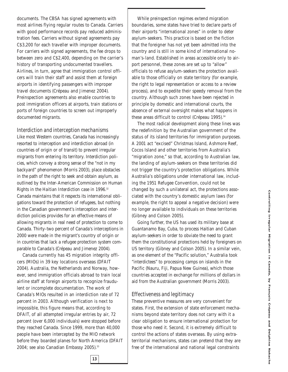documents. The CBSA has signed agreements with most airlines flying regular routes to Canada. Carriers with good performance records pay reduced administration fees. Carriers without signed agreements pay C\$3,200 for each traveller with improper documents. For carriers with signed agreements, the fee drops to between zero and C\$2,400, depending on the carrier's history of transporting undocumented travellers. Airlines, in turn, agree that immigration control officers will train their staff and assist them at foreign airports in identifying passengers with improper travel documents (Crépeau and Jimenez 2004). Preinspection agreements also enable countries to post immigration officers at airports, train stations or ports of foreign countries to screen out improperly documented migrants.

#### *Interdiction and interception mechanisms*

Like most Western countries, Canada has increasingly resorted to interception and interdiction abroad (in countries of origin or of transit) to prevent irregular migrants from entering its territory. Interdiction policies, which convey a strong sense of the "not in my backyard" phenomenon (Morris 2003), place obstacles in the path of the right to seek and obtain asylum, as outlined by the Inter-American Commission on Human Rights in the *Haitian Interdiction* case in 1996.32 Canada maintains that it respects its international obligations toward the protection of refugees, but nothing in the Canadian government's interception and interdiction policies provides for an effective means of allowing migrants in real need of protection to come to Canada. Thirty-two percent of Canada's interceptions in 2000 were made in the migrant's country of origin or in countries that lack a refugee protection system comparable to Canada's (Crépeau and Jimenez 2004).

Canada currently has 45 migration integrity officers (MIOs) in 39 key locations overseas (DFAIT 2004). Australia, the Netherlands and Norway, however, send immigration officials abroad to train local airline staff at foreign airports to recognize fraudulent or incomplete documentation. The work of Canada's MIOs resulted in an interdiction rate of 72 percent in 2003. Although verification is next to impossible, this figure means that, according to DFAIT, of all attempted irregular entries by air, 72 percent (over 6,000 individuals) were stopped before they reached Canada. Since 1999, more than 40,000 people have been intercepted by the MIO network before they boarded planes for North America (DFAIT 2004; see also Canadian Embassy 2005).<sup>33</sup>

While preinspection regimes extend migration boundaries, some states have tried to declare parts of their airports "international zones" in order to deter asylum-seekers. This practice is based on the fiction that the foreigner has not yet been admitted into the country and is still in some kind of international noman's-land. Established in areas accessible only to airport personnel, these zones are set up to "allow" officials to refuse asylum-seekers the protection available to those officially on state territory (for example, the right to legal representation or access to a review process), and to expedite their speedy removal from the country. Although such zones have been rejected in principle by domestic and international courts, the absence of external oversight makes what happens in these areas difficult to control (Crépeau 1995).<sup>34</sup>

The most radical development along these lines was the redefinition by the Australian government of the status of its island territories for immigration purposes. A 2001 act "excised" Christmas Island, Ashmore Reef, Cocos Island and other territories from Australia's "migration zone," so that, according to Australian law, the landing of asylum-seekers on these territories did not trigger the country's protection obligations. While Australia's obligations under international law, including the 1951 Refugee Convention, could not be changed by such a unilateral act, the protections associated with the country's domestic asylum laws (for example, the right to appeal a negative decision) were no longer available to individuals on these territories (Gibney and Colson 2005).

Going further, the US has used its military base at Guantanamo Bay, Cuba, to process Haitian and Cuban asylum-seekers in order to obviate the need to grant them the constitutional protections held by foreigners on US territory (Gibney and Colson 2005). In a similar vein, as one element of the "Pacific solution," Australia took "interdictees" to processing camps on islands in the Pacific (Nauru, Fiji, Papua New Guinea), which those countries accepted in exchange for millions of dollars in aid from the Australian government (Morris 2003).

#### *Effectiveness and legitimacy*

These preventive measures are very convenient for states. First, the extension of state enforcement mechanisms beyond state territory does not carry with it a *clear* obligation to ensure international protection for those who need it. Second, it is extremely difficult to control the actions of states overseas. By using extraterritorial mechanisms, states can pretend that they are free of the international and national legal constraints

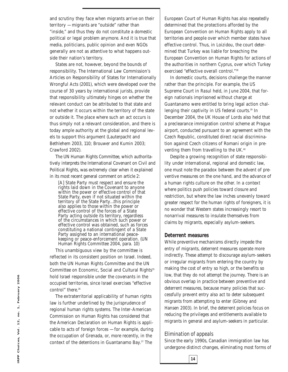and scrutiny they face when migrants arrive on their territory — migrants are "outside" rather than "inside," and thus they do not constitute a domestic political or legal problem anymore. And it is true that media, politicians, public opinion and even NGOs generally are not as attentive to what happens outside their nation's territory.

States are not, however, beyond the bounds of responsibility. The International Law Commission's Articles on Responsibility of States for Internationally Wrongful Acts (2001), which were developed over the course of 30 years by international jurists, provide that responsibility ultimately hinges on whether the relevant conduct can be attributed to that state and not whether it occurs within the territory of the state or outside it. The place where such an act occurs is thus simply not a relevant consideration, and there is today ample authority at the global and regional levels to support this argument (Lauterpacht and Bethlehem 2003, 110; Brouwer and Kumin 2003; Crawford 2002).

The UN Human Rights Committee, which authoritatively interprets the International Covenant on Civil and Political Rights, was extremely clear when it explained in its most recent general comment on article 2:

[A] State Party must respect and ensure the rights laid down in the Covenant to anyone within the power or effective control of that State Party, even if not situated within the territory of the State Party…this principle also applies to those within the power or effective control of the forces of a State Party acting outside its territory, regardless of the circumstances in which such power or effective control was obtained, such as forces constituting a national contingent of a State Party assigned to an international peacekeeping or peace-enforcement operation. (UN Human Rights Committee 2004, para. 10)

This unambiguous view by the committee is reflected in its consistent position on Israel. Indeed, both the UN Human Rights Committee and the UN Committee on Economic, Social and Cultural Rights<sup>35</sup> hold Israel responsible under the covenants in the occupied territories, since Israel exercises "effective control" there.<sup>36</sup>

The extraterritorial applicability of human rights law is further underlined by the jurisprudence of regional human rights systems. The Inter-American Commission on Human Rights has considered that the American Declaration on Human Rights is applicable to acts of foreign forces — for example, during the occupation of Grenada, or, more recently, in the context of the detentions in Guantanamo Bay.37 The

European Court of Human Rights has also repeatedly determined that the protections afforded by the European Convention on Human Rights apply to all territories and people over which member states have effective control. Thus, in *Loizidou*, the court determined that Turkey was liable for breaching the European Convention on Human Rights for actions of the authorities in northern Cyprus, over which Turkey exercised "effective overall control."38

In domestic courts, decisions challenge the manner rather than the principle. For example, the US Supreme Court in *Rasul* held, in June 2004, that foreign nationals imprisoned without charge at Guantanamo were entitled to bring legal action challenging their captivity in US federal courts.<sup>39</sup> In December 2004, the UK House of Lords also held that a preclearance immigration control scheme at Prague airport, conducted pursuant to an agreement with the Czech Republic, constituted direct racial discrimination against Czech citizens of Romani origin in preventing them from travelling to the UK.<sup>40</sup>

Despite a growing recognition of state responsibility under international, regional and domestic law, one must note the paradox between the advent of preventive measures on the one hand, and the advance of a human rights culture on the other. In a context where politics push policies toward closure and restriction, but where the law inches unevenly toward greater respect for the human rights of foreigners, it is no wonder that Western states increasingly resort to nonarrival measures to insulate themselves from claims by migrants, especially asylum-seekers.

#### **Deterrent measures**

While preventive mechanisms directly impede the entry of migrants, deterrent measures operate more indirectly. These attempt to discourage asylum-seekers or irregular migrants from entering the country by making the cost of entry so high, or the benefits so low, that they do not attempt the journey. There is an obvious overlap in practice between preventive and deterrent measures, because many policies that successfully prevent entry also act to deter subsequent migrants from attempting to enter (Gibney and Hansen 2003). In brief, the deterrent policies focus on reducing the privileges and entitlements available to migrants in general and asylum-seekers in particular.

#### *Elimination of appeals*

**14**

Since the early 1990s, Canadian immigration law has undergone distinct changes, eliminating most forms of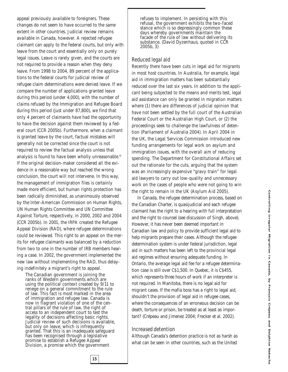appeal previously available to foreigners. These changes do not seem to have occurred to the same extent in other countries. Judicial review remains available in Canada, however. A rejected refugee claimant can apply to the federal courts, but only with leave from the court and essentially only on purely legal issues. Leave is rarely given, and the courts are not required to provide a reason when they deny leave. From 1998 to 2004, 89 percent of the applications to the federal courts for judicial review of refugee claim determinations were denied leave. If we compare the number of applications granted leave during this period (under 4,000), with the number of claims refused by the Immigration and Refugee Board during this period (just under 87,800), we find that only 4 percent of claimants have had the opportunity to have the decision against them reviewed by a federal court (CCR 2005b). Furthermore, when a claimant is granted leave by the court, factual mistakes will generally not be corrected since the court is not required to review the factual analysis unless that analysis is found to have been wholly unreasonable.<sup>41</sup> If the original decision-maker considered all the evidence in a reasonable way but reached the wrong conclusion, the court will not intervene. In this way, the management of immigration files is certainly made more efficient, but human rights protection has been radically diminished, as unanimously observed by the Inter-American Commission on Human Rights, UN Human Rights Committee and UN Committee Against Torture, respectively, in 2000, 2002 and 2004 (CCR 2005b). In 2001, the *IRPA* created the Refugee Appeal Division (RAD), where refugee determinations could be reviewed. This right to an appeal on the merits for refugee claimants was balanced by a reduction from two to one in the number of IRB members hearing a case. In 2002, the government implemented the new law without implementing the RAD, thus delaying indefinitely a migrant's right to appeal.

The Canadian government is joining the ranks of Western governments which are using the political context created by 9/11 to renege on a general commitment to the rule of law. This fact is most marked in the area of immigration and refugee law. Canada is now in flagrant violation of one of the central pillars of the rule of law, the right of access to an independent court to test the legality of decisions affecting basic rights. Judicial review of such decisions is available, but only on leave, which is infrequently granted. That this is an inadequate safeguard has been recognised through a legislative promise to establish a Refugee Appeal Division, a promise which the government

**15**

refuses to implement. In persisting with this refusal, the government exhibits the two-faced stance which is so depressingly common these days whereby governments maintain the facade of the rule of law without delivering its substance. (David Dyzenhaus, quoted in CCR 2005b, 3)

#### *Reduced legal aid*

Recently there have been cuts in legal aid for migrants in most host countries. In Australia, for example, legal aid in immigration matters has been substantially reduced over the last six years. In addition to the applicant being subjected to the means and merits test, legal aid assistance can only be granted in migration matters where (1) there are differences of judicial opinion that have not been settled by the full court of the Australian Federal Court or the Australian High Court, or (2) the proceedings seek to challenge the lawfulness of detention (Parliament of Australia 2004). In April 2004 in the UK, the Legal Services Commission introduced new funding arrangements for legal work on asylum and immigration issues, with the overall aim of reducing spending. The Department for Constitutional Affairs set out the rationale for the cuts, arguing that the system was an increasingly expensive "gravy train" for legal aid lawyers to carry out low-quality and unnecessary work on the cases of people who were not going to win the right to remain in the UK (Asylum Aid 2005).

In Canada, the refugee determination process, based on the Canadian Charter, is quasijudicial and each refugee claimant has the right to a hearing with full interpretation and the right to counsel (see discussion of *Singh,* above). However, it has never been deemed important in Canadian law and policy to provide sufficient legal aid to help migrants prepare their cases. Although the refugee determination system is under federal jurisdiction, legal aid in such matters has been left to the provincial legal aid regimes without ensuring adequate funding. In Ontario, the average legal aid fee for a refugee determination case is still over C\$1,500. In Quebec, it is C\$455, which represents three hours of work if an interpreter is not required. In Manitoba, there is no legal aid for migrant cases. If the mafia boss has a right to legal aid, shouldn't the provision of legal aid in refugee cases, where the consequences of an erroneous decision can be death, torture or prison, be treated as at least as important? (Crépeau and Jimenez 2004; Frecker et al. 2002).

#### *Increased detention*

Although Canada's detention practice is not as harsh as what can be seen in other countries, such as the United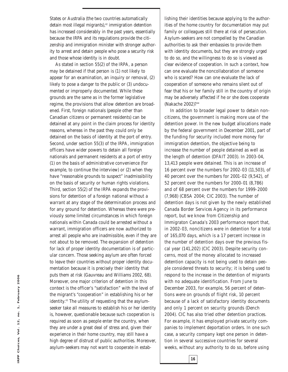States or Australia (the two countries automatically detain most illegal migrants),<sup>42</sup> immigration detention has increased considerably in the past years, essentially because the *IRPA* and its regulations provide the citizenship and immigration minister with stronger authority to arrest and detain people who pose a security risk and those whose identity is in doubt.

As stated in section 55(2) of the *IRPA*, a person may be detained if that person is (1) not likely to appear for an examination, an inquiry or removal, (2) likely to pose a danger to the public or (3) undocumented or improperly documented. While these grounds are the same as in the former legislative regime, the provisions that allow detention are broadened. First, foreign nationals (people other than Canadian citizens or permanent residents) can be detained at any point in the claim process for identity reasons, whereas in the past they could only be detained on the basis of identity at the port of entry. Second, under section 55(3) of the *IRPA*, immigration officers have wider powers to detain all foreign nationals and permanent residents at a port of entry (1) on the basis of administrative convenience (for example, to continue the interview) or (2) when they have "reasonable grounds to suspect" inadmissibility on the basis of security or human rights violations. Third, section 55(2) of the *IRPA* expands the provisions for detention of a foreign national *without a warrant* at any stage of the determination process and for any ground for detention. Whereas there were previously some limited circumstances in which foreign nationals within Canada could be arrested without a warrant, immigration officers are now authorized to arrest all people who are inadmissible, even if they are not about to be removed. The expansion of detention for lack of proper identity documentation is of particular concern. Those seeking asylum are often forced to leave their countries without proper identity documentation because it is precisely their identity that puts them at risk (Gauvreau and Williams 2002, 68). Moreover, one major criterion of detention in this context is the officer's "satisfaction" with the level of the migrant's "cooperation" in establishing his or her identity.43 The utility of requesting that the asylumseeker take all measures to establish his or her identity is, however, questionable because such cooperation is required as soon as people enter the country, when they are under a great deal of stress and, given their experience in their home country, may still have a high degree of distrust of public authorities. Moreover, asylum-seekers may not want to cooperate in estab-

lishing their identities because applying to the authorities of the home country for documentation may put family or colleagues still there at risk of persecution. Asylum-seekers are not compelled by the Canadian authorities to ask their embassies to provide them with identity documents, but they are *strongly urged* to do so, and the willingness to do so is viewed as clear evidence of cooperation. In such a context, how can one evaluate the noncollaboration of someone who is scared? How can one evaluate the lack of cooperation of someone who remains silent out of fear that his or her family still in the country of origin may be adversely affected if he or she does cooperate (Nakache 2002)?44

In addition to broader legal power to detain noncitizens, the government is making more use of the detention power. In the new budget allocations made by the federal government in December 2001, part of the funding for security included more money for immigration detention, the objective being to increase the number of people detained as well as the length of detention (DFAIT 2003). In 2003-04, 13,413 people were detained. This is an increase of 16 percent over the numbers for 2002-03 (11,503), of 40 percent over the numbers for 2001-02 (9,542), of 52 percent over the numbers for 2000-01 (8,786) and of 68 percent over the numbers for 1999-2000 (7,968) (CBSA 2004; CIC 2003). The number of detention days is not given by the newly established Canada Border Services Agency in its performance report, but we know from Citizenship and Immigraton Canada's 2003 performance report that, in 2002-03, noncitizens were in detention for a total of 165,070 days, which is a 17 percent increase in the number of detention days over the previous fiscal year (141,202) (CIC 2003). Despite security concerns, most of the money allocated to increased detention capacity is not being used to detain people considered threats to security; it is being used to respond to the increase in the detention of migrants with no adequate identification. From June to December 2003, for example, 56 percent of detentions were on grounds of flight risk, 10 percent because of a lack of satisfactory identity documents and only 1 percent on security grounds (Dench 2004). CIC has also tried other detention practices. For example, it has employed private security companies to implement deportation orders. In one such case, a security company kept one person in detention in several successive countries for several weeks, without any authority to do so, before using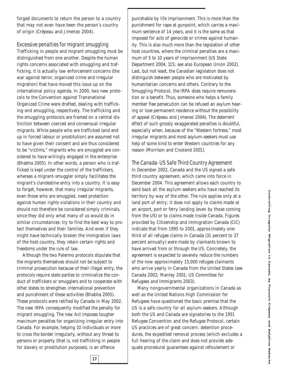forged documents to return the person to a country that may not even have been the person's country of origin (Crépeau and Jimenez 2004).

#### *Excessive penalties for migrant smuggling*

Trafficking in people and migrant smuggling must be distinguished from one another. Despite the human rights concerns associated with smuggling and trafficking, it is actually law enforcement concerns (the war against terror, organized crime and irregular migration) that have moved this issue up on the international policy agenda. In 2000, two new protocols to the Convention against Transnational Organized Crime were drafted, dealing with trafficking and smuggling, respectively. The trafficking and the smuggling protocols are framed on a central distinction between coerced and consensual irregular migrants. While people who are trafficked (and end up in forced labour or prostitution) are assumed not to have given their consent and are thus considered to be "victims," migrants who are smuggled are considered to have willingly engaged in the enterprise (Bhabha 2005). In other words, a person who is trafficked is kept under the control of the traffickers, whereas a migrant-smuggler simply facilitates the migrant's clandestine entry into a country. It is easy to forget, however, that many irregular migrants, even those who are smuggled, need protection against human rights violations in their country and should not therefore be considered simply criminals, since they did only what many of us would do in similar circumstances: try to find the best way to protect themselves and their families. And even if they might have technically broken the immigration laws of the host country, they retain certain rights and freedoms under the rule of law.

Although the two Palermo protocols stipulate that the migrants themselves should not be subject to criminal prosecution because of their illegal entry, the protocols require state parties to criminalize the conduct of traffickers or smugglers and to cooperate with other states to strengthen international prevention and punishment of these activities (Bhabha 2005). These protocols were ratified by Canada in May 2002. The new *IRPA* consequently modified the penalty for migrant smuggling. The new Act imposes tougher maximum penalties for organizing irregular entry into Canada. For example, helping 10 individuals or more to cross the border irregularly, without any threat to persons or property (that is, not trafficking in people for slavery or prostitution purposes), is an offence

punishable by life imprisonment. This is more than the punishment for rape at gunpoint, which carries a maximum sentence of 14 years, and it is the same as that imposed for acts of genocide or crimes against humanity. This is also much more than the legislation of other host countries, where the criminal penalties are a maximum of 5 to 10 years of imprisonment (US State Department 2004, 115; see also European Union 2002). Last, but not least, the Canadian legislation does not distinguish between people who are motivated by humanitarian concerns and others. Contrary to the Smuggling Protocol*,* the *IRPA* does require remuneration or a benefit. Thus, someone who helps a family member flee persecution can be refused an asylum hearing or lose permanent residence without the possibility of appeal (Crépeau and Jimenez 2004). The deterrent effect of such grossly exaggerated penalties is doubtful, especially when, because of the "Western fortress," most irregular migrants and most asylum-seekers must use help of some kind to enter Western countries for any reason (Morrison and Crosland 2001).

#### *The Canada-US Safe Third Country Agreement*

In December 2002, Canada and the US signed a safe third country agreement, which came into force in December 2004. This agreement allows each country to send back all the asylum-seekers who have reached its territory by way of the other. The rule applies only at a land port of entry; it does not apply to claims made at an airport, port or ferry landing (even by those coming from the US) or to claims made inside Canada. Figures provided by Citizenship and Immigration Canada (CIC) indicate that from 1995 to 2001, approximately onethird of all refugee claims in Canada (31 percent to 37 percent annually) were made by claimants known to have arrived from or through the US. Concretely, the agreement is expected to severely reduce the numbers of the now approximately 15,000 refugee claimants who arrive yearly in Canada from the United States (see Canada 2002; Manley 2001; US Committee for Refugees and Immigrants 2003).

Many nongovernmental organizations in Canada as well as the United Nations High Commission for Refugees have questioned the basic premise that the US is a safe country for all asylum-seekers. Although both the US and Canada are signatories to the 1951 Refugee Convention and the Refugee Protocol, certain US practices are of great concern: detention procedures, the expedited removal process (which excludes a full hearing of the claim and does not provide adequate procedural guarantees against refoulement or

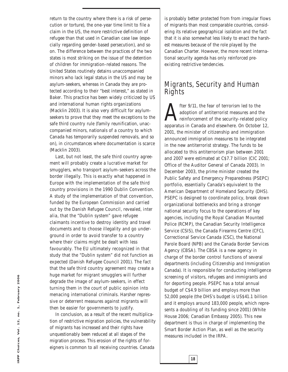return to the country where there is a risk of persecution or torture), the one-year time limit to file a claim in the US, the more restrictive definition of refugee than that used in Canadian case law (especially regarding gender-based persecution), and so on. The difference between the practices of the two states is most striking on the issue of the detention of children for immigration-related reasons. The United States routinely detains unaccompanied minors who lack legal status in the US and may be asylum-seekers, whereas in Canada they are protected according to their "best interest," as stated in *Baker*. This practice has been widely criticized by US and international human rights organizations (Macklin 2003). It is also very difficult for asylumseekers to prove that they meet the exceptions to the safe third country rule (family reunification, unaccompanied minors, nationals of a country to which Canada has temporarily suspended removals, and so on), in circumstances where documentation is scarce (Macklin 2003).

Last, but not least, the safe third country agreement will probably create a lucrative market for smugglers, who transport asylum-seekers across the border illegally. This is exactly what happened in Europe with the implementation of the safe third country provisions in the 1990 Dublin Convention. A study of the implementation of that convention, funded by the European Commission and carried out by the Danish Refugee Council, revealed, *inter alia*, that the "Dublin system" gave refugee claimants incentive to destroy identity and travel documents and to choose illegality and go underground in order to avoid transfer to a country where their claims might be dealt with less favourably. The EU ultimately recognized in that study that the "Dublin system" did not function as expected (Danish Refugee Council 2001). The fact that the safe third country agreement may create a huge market for migrant smugglers will further degrade the image of asylum-seekers, in effect turning them in the court of public opinion into menacing international criminals. Harsher repressive or deterrent measures against migrants will then be easier for governments to justify.

In conclusion, as a result of the recent multiplication of restrictive migration policies, the vulnerability of migrants has increased and their rights have unquestionably been reduced at all stages of the migration process. This erosion of the rights of foreigners is common to all receiving countries. Canada

is probably better protected from from irregular flows of migrants than most comparable countries, considering its relative geographical isolation and the fact that it is also somewhat less likely to enact the harshest measures because of the role played by the Canadian Charter. However, the more recent international security agenda has only reinforced preexisting restrictive tendencies.

# Migrants, Security and Human Rights

fter 9/11, the fear of terrorism led to the adoption of antiterrorist measures and the reinforcement of the security-related policy apparatus in Canada and elsewhere. On October 12, 2001, the minister of citizenship and immigration announced immigration measures to be integrated in the new antiterrorist strategy. The funds to be allocated to this antiterrorism plan between 2001 and 2007 were estimated at C\$7.7 billion (CIC 2001; Office of the Auditor General of Canada 2003). In December 2003, the prime minister created the Public Safety and Emergency Preparedness (PSEPC) portfolio, essentially Canada's equivalent to the American Department of Homeland Security (DHS). PSEPC is designed to coordinate policy, break down organizational bottlenecks and bring a stronger national security focus to the operations of key agencies, including the Royal Canadian Mounted Police (RCMP), the Canadian Security Intelligence Service (CSIS), the Canada Firearms Centre (CFC), Correctional Service Canada (CSC), the National Parole Board (NPB) and the Canada Border Services Agency (CBSA). The CBSA is a new agency in charge of the border control functions of several departments (including Citizenship and Immigration Canada). It is responsible for conducting intelligence screening of visitors, refugees and immigrants and for deporting people. PSEPC has a total annual budget of C\$4.9 billion and employs more than 52,000 people (the DHS's budget is US\$41.1 billion and it employs around 183,000 people, which represents a doubling of its funding since 2001) (White House 2006; Canadian Embassy 2005). This new department is thus in charge of implementing the Smart Border Action Plan, as well as the security measures included in the *IRPA*.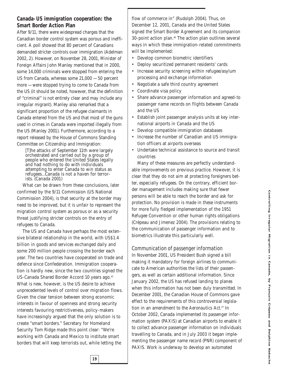#### **Canada-US immigration cooperation: the Smart Border Action Plan**

After 9/11, there were widespread charges that the Canadian border control system was porous and inefficient. A poll showed that 80 percent of Canadians demanded stricter controls over immigration (Adelman 2002, 2). However, on November 28, 2001, Minister of Foreign Affairs John Manley mentioned that in 2000, some 14,000 criminals were stopped from entering the US from Canada, whereas some 21,000 — 50 percent more — were stopped trying to come to Canada from the US (it should be noted, however, that the definition of "criminal" is not entirely clear and may include any irregular migrant). Manley also remarked that a significant proportion of the refugee claimants in Canada entered from the US and that most of the guns used in crimes in Canada were imported illegally from the US (Manley 2001). Furthermore, according to a report released by the House of Commons Standing Committee on Citizenship and Immigration:

[T]he attacks of September 11th were largely orchestrated and carried out by a group of people who entered the United States legally and had nothing to do with individuals attempting to enter Canada to win status as refugees…Canada is not a haven for terrorists. (Canada 2001)

What can be drawn from these conclusions, later confirmed by the 9/11 Commission (US National Commission 2004), is that security at the border may need to be improved, but it is unfair to represent the migration control system as porous or as a security threat justifying stricter controls on the entry of refugees to Canada.

The US and Canada have perhaps the most extensive bilateral relationship in the world, with US\$1.4 billion in goods and services exchanged daily and some 200 million people crossing the border each year. The two countries have cooperated on trade and defence since Confederation. Immigration cooperation is hardly new, since the two countries signed the US-Canada Shared Border Accord 10 years ago.<sup>45</sup> What is new, however, is the US desire to achieve unprecedented levels of control over migration flows. Given the clear tension between strong economic interests in favour of openness and strong security interests favouring restrictiveness, policy-makers have increasingly argued that the only solution is to create "smart borders." Secretary for Homeland Security Tom Ridge made this point clear: "We're working with Canada and Mexico to institute smart borders that will keep terrorists out, while letting the

flow of commerce in" (Rudolph 2004). Thus, on December 12, 2001, Canada and the United States signed the Smart Border Agreement and its companion 30-point action plan.46 The action plan outlines several ways in which these immigration-related commitments will be implemented:

- Develop common biometric identifiers
- Deploy securitized permanent residents' cards
- Increase security screening within refugee/asylum processing and exchange information
- Negotiate a safe third country agreement
- Coordinate visa policy
- Share advance passenger information and agreed-to passenger name records on flights between Canada and the US
- Establish joint passenger analysis units at key international airports in Canada and the US
- Develop compatible immigration databases
- Increase the number of Canadian and US immigration officers at airports overseas
- Undertake technical assistance to source and transit countries

Many of these measures are perfectly understandable improvements on previous practice. However, it is clear that they do not aim at protecting foreigners better, especially refugees. On the contrary, efficient border management includes making sure that fewer persons will be able to reach the border and ask for protection. No provision is made in these instruments for more fully fledged implementation of the 1951 Refugee Convention or other human rights obligations (Crépeau and Jimenez 2004). The provisions relating to the communication of passenger information and to biometrics illustrate this particularly well.

*Communication of passenger information*

In November 2001, US President Bush signed a bill making it mandatory for foreign airlines to communicate to American authorities the lists of their passengers, as well as certain additional information. Since January 2002, the US has refused landing to planes when this information has not been duly transmitted. In December 2001, the Canadian House of Commons gave effect to the requirements of this controversial legislation in an amendment to the *Aeronautics Act*. <sup>47</sup> In October 2002, Canada implemented its passenger information system (PAXIS) at Canadian airports to enable it to collect advance passenger information on individuals travelling to Canada, and in July 2003 it began implementing the passenger name record (PNR) component of PAXIS. Work is underway to develop an automated

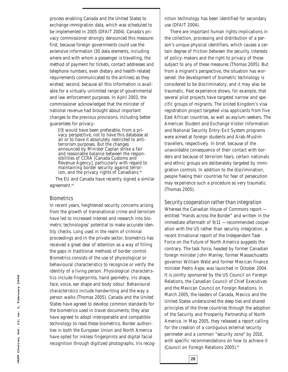process enabling Canada and the United States to exchange immigration data, which was scheduled to be implemented in 2005 (DFAIT 2004). Canada's privacy commissioner strongly denounced this measure: first, because foreign governments could use the extensive information (30 data elements, including where and with whom a passenger is travelling, the method of payment for tickets, contact addresses and telephone numbers, even dietary and health-related requirements communicated to the airlines) as they wished; second, because all this information is available for a virtually unlimited range of governmental and law enforcement purposes. In April 2003, the commissioner acknowledged that the minister of national revenue had brought about important changes to the previous provisions, including better guarantees for privacy:

[I]t would have been preferable, from a privacy perspective, not to have this database at all or to have it absolutely restricted to antiterrorism purposes. But the changes announced by Minister Caplan strike a fair and reasonable balance between the responsibilities of CCRA [Canada Customs and Revenue Agency], particularly with regard to maintaining border security against terrorism, and the privacy rights of Canadians.<sup>48</sup>

The EU and Canada have recently signed a similar agreement.<sup>49</sup>

#### *Biometrics*

In recent years, heightened security concerns arising from the growth of transnational crime and terrorism have led to increased interest and research into biometric technologies' potential to make accurate identity checks. Long used in the realm of criminal proceedings and in the private sector, biometrics has received a great deal of attention as a way of filling the gaps in traditional methods of border control. Biometrics consists of the use of physiological or behavioural characteristics to recognize or verify the identity of a living person. *Physiological characteristics* include fingerprints, hand geometry, iris shape, face, voice, ear shape and body odour. *Behavioural characteristics* include handwriting and the way a person walks (Thomas 2005). Canada and the United States have agreed to develop common standards for the biometrics used in travel documents; they also have agreed to adopt interoperable and compatible technology to read these biometrics. Border authorities in both the European Union and North America have opted for inkless fingerprints and digital facial recognition through digitized photographs. Iris recognition technology has been identified for secondary use (DFAIT 2004).

There are important human rights implications in the collection, processing and distribution of a person's unique physical identifiers, which causes a certain degree of friction between the security interests of policy-makers and the right to privacy of those subject to any of these measures (Thomas 2005). But from a migrant's perspective, the situation has worsened: the development of biometric technology is considered to be discriminatory, and it may also be traumatic. Past experience shows, for example, that several pilot projects have targeted narrow and specific groups of migrants. The United Kingdom's visa registration project targeted visa applicants from five East African countries, as well as asylum-seekers. The American Student and Exchange Visitor Information and National Security Entry-Exit System programs were aimed at foreign students and Arab-Muslim travellers, respectively. In brief, because of the unavoidable consequence of their contact with borders and because of terrorism fears, certain nationals and ethnic groups are deliberately targeted by immigration controls. In addition to the discrimination, people fleeing their countries for fear of persecution may experience such a procedure as very traumatic (Thomas 2005).

*Security cooperation rather than integration* Whereas the Canadian House of Commons report entitled "Hands across the Border" and written in the immediate aftermath of 9/11 — recommended cooperation with the US rather than security integration, a recent trinational report of the Independent Task Force on the Future of North America suggests the contrary. The task force, headed by former Canadian foreign minister John Manley, former Massachusetts governor William Weld and former Mexican finance minister Pedro Aspe, was launched in October 2004. It is jointly sponsored by the US Council on Foreign Relations, the Canadian Council of Chief Executives and the Mexican Council on Foreign Relations. In March 2005, the leaders of Canada, Mexico and the United States underscored the deep ties and shared principles of the three countries through the adoption of the Security and Prosperity Partnership of North America. In May 2005, they released a report calling for the creation of a contiguous external security perimeter and a common "security zone" by 2010, with specific recommendations on how to achieve it (Council on Foreign Relations 2005).<sup>50</sup>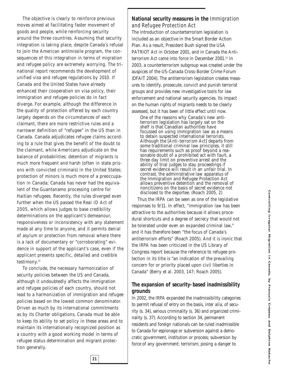The objective is clearly to reinforce previous moves aimed at facilitating faster movement of goods and people, while reinforcing security around the three countries. Assuming that security integration is taking place, despite Canada's refusal to join the American antimissile program, the consequences of this integration in terms of migration and refugee policy are extremely worrying. The trinational report recommends the development of unified visa and refugee regulations by 2010. If Canada and the United States have already enhanced their cooperation on visa policy, their immigration and refugee policies do in fact diverge. For example, although the difference in the quality of protection offered by each country largely depends on the circumstances of each claimant, there are more restrictive rules and a narrower definition of "refugee" in the US than in Canada. Canada adjudicates refugee claims according to a rule that gives the benefit of the doubt to the claimant, while Americans adjudicate on the balance of probabilities; detention of migrants is much more frequent and harsh (often in state prisons with convicted criminals) in the United States; protection of minors is much more of a preoccupation in Canada; Canada has never had the equivalent of the Guantanamo processing centre for Haitian refugees. Recently, the rules diverged even further when the US passed the *Real ID Act of 2005*, which allows judges to base credibility determinations on the applicant's demeanour, responsiveness or inconsistency with any statement made at any time to anyone, and it permits denial of asylum or protection from removal where there is a lack of documentary or "corroborating" evidence in support of the applicant's case, even if the applicant presents specific, detailed and credible testimony.<sup>51</sup>

To conclude, the necessary harmonization of security policies between the US and Canada, although it undoubtedly affects the immigration and refugee policies of each country, should not lead to a harmonization of immigration and refugee policies based on the lowest common denominator. Driven as much by its international commitments as by its Charter obligations, Canada must be able to keep its ability to set policy in these areas and to maintain its internationally recognized position as a country with a good working model in terms of refugee status determination and migrant protection generally.

**21**

#### **National security measures in the** *Immigration and Refugee Protection Act*

The introduction of counterterrorism legislation is included as an objective in the Smart Border Action Plan. As a result, President Bush signed the *USA PATRIOT Act* in October 2001, and in Canada the *Antiterrorism Act* came into force in December 2001.52 In 2003, a counterterrorism subgroup was created under the auspices of the US-Canada Cross-Border Crime Forum (DFAIT 2004). The antiterrorism legislation creates measures to identify, prosecute, convict and punish terrorist groups and provides new investigative tools for law enforcement and national security agencies. Its impact on the human rights of migrants needs to be clearly assessed, but it has been of little effect until now.

One of the reasons why Canada's new antiterrorism legislation has largely sat on the shelf is that Canadian authorities have focussed on using immigration law as a means to detain suspected international terrorists. Although the [*Anti-terrorism Act*] departs from some traditional criminal law principles, it still has requirements such as proof beyond a reasonable doubt of a prohibited act with fault, a three day limit on preventive arrest and the ability of trial judges to stay proceedings if secret evidence will result in an unfair trial. In contrast, the administrative law apparatus of the Immigration and Refugee Protection Act allows preventive detention and the removal of noncitizens on the basis of secret evidence not disclosed to the deportee. (Roach 2005, 2)

Thus the *IRPA* can be seen as one of the legislative responses to 9/11. In effect, "immigration law has been attractive to the authorities because it allows procedural shortcuts and a degree of secrecy that would not be tolerated under even an expanded criminal law," and it has therefore been "the focus of Canada's antiterrorism efforts" (Roach 2005). And it is ironic that the *IRPA* has been criticized in the US Library of Congress report because the reference to refugee protection in its title is "an indication of the prevailing concern for or priority placed upon civil liberties in Canada" (Berry et al. 2003, 147; Roach 2005).

#### **The expansion of security-based inadmissibility grounds**

In 2002, the *IRPA* expanded the inadmissibility categories to permit refusal of entry on the basis, *inter alia*, of security (s. 34), serious criminality (s. 36) and organized criminality (s. 37). According to section 34, permanent residents and foreign nationals can be ruled inadmissible to Canada for espionage or subversion against a democratic government, institution or process; subversion by force of any government; terrorism; posing a danger to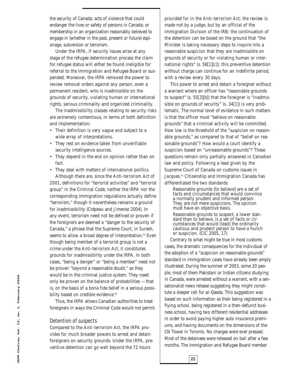the security of Canada; acts of violence that could endanger the lives or safety of persons in Canada; or membership in an organization reasonably believed to engage in (whether in the past, present or future) espionage, subversion or terrorism.

Under the *IRPA*, if security issues arise at any stage of the refugee determination process the claim for refugee status will either be found ineligible for referral to the Immigration and Refugee Board or suspended. Moreover, the *IRPA* removed the power to review removal orders against any person, even a permanent resident, who is inadmissible on the grounds of security, violating human or international rights, serious criminality and organized criminality.

The inadmissibility classes relating to security risks are extremely contentious, in terms of both definition and implementation:

- Their definition is very vague and subject to a wide array of interpretations.
- They rest on evidence taken from unverifiable security intelligence sources.
- They depend in the end on opinion rather than on fact.
- They deal with matters of international politics. Although there are, since the *Anti-terrorism Act of 2001*, definitions for "terrorist activities" and "terrorist group" in the Criminal Code, neither the *IRPA* nor the corresponding immigration regulations actually define "terrorism," though it nevertheless remains a ground for inadmissibility (Crépeau and Jimenez 2004). In any event, terrorism need not be defined or proven if the foreigners are deemed a "danger to the security of Canada," a phrase that the Supreme Court, in *Suresh*, seems to allow a broad degree of interpretation.<sup>53</sup> Even though being member of a terrorist group is not a crime under the *Anti-terrorism Act*, it constitutes grounds for inadmissibility under the *IRPA*. In both cases, "being a danger" or "being a member" need not be proven "beyond a reasonable doubt," as they would be in the criminal justice system. They need only be proven on the balance of probabilities — that is, on the basis of a bona fide belief in a serious possibility based on credible evidence.<sup>54</sup>

Thus, the *IRPA* allows Canadian authorities to treat foreigners in ways the Criminal Code would not permit.

#### *Detention of suspects*

Compared to the *Anti-terrorism Act*, the *IRPA* provides for much broader powers to arrest and detain foreigners on security grounds. Under the *IRPA*, preventive detention can go well beyond the 72 hours

provided for in the *Anti-terrorism Act*; the review is made not by a judge, but by an official of the Immigration Division of the IRB; the continuation of the detention can be based on the ground that "the Minister is taking necessary steps to inquire into a reasonable suspicion that they are inadmissible on grounds of security or for violating human or international rights" (s. 58[1][*c*]); this preventive detention without charge can continue for an indefinite period, with a review every 30 days.

This power to arrest and detain a foreigner without a warrant where an officer has "reasonable grounds to suspect" (s. 55[3][*b*]) that the foreigner is "inadmissible on grounds of security" (s. 34[1]) is very problematic. The normal level of evidence in such matters is that the officer must "believe on reasonable grounds" that a criminal activity will be committed. How low is the threshold of the "suspicion on reasonable grounds," as compared to that of "belief on reasonable grounds"? How would a court identify a suspicion based on "unreasonable grounds"? These questions remain only partially answered in Canadian law and policy. Following a lead given by the Supreme Court of Canada on customs issues in *Jacques*, <sup>55</sup> Citizenship and Immigration Canada has differentiated the two standards:

Reasonable grounds [to believe] are a set of facts and circumstances that would convince a normally prudent and informed person. They are not mere suspicions. The opinion must have an objective basis.

Reasonable grounds to suspect, a lower standard than to believe, is a set of facts or circumstances that would [lead] the ordinarily cautious and prudent person to have a hunch or suspicion. (CIC 2005, 17)

Contrary to what might be true in most customs cases, the dramatic consequences for the individual of the adoption of a "suspicion on reasonable grounds" standard in immigration cases have already been amply illustrated. During the summer of 2003, some 20 people, most of them Pakistani or Indian citizens studying in Canada, were arrested without a warrant, with a sensationalist news release suggesting they might constitute a sleeper cell for al-Qaeda. This suggestion was based on such information as their being registered in a flying school, being registered in a then-defunct business school, having two different residential addresses in order to avoid paying higher auto insurance premiums, and having documents on the dimensions of the CN Tower in Toronto. No charges were ever pressed. Most of the detainees were released on bail after a few months. The Immigration and Refugee Board member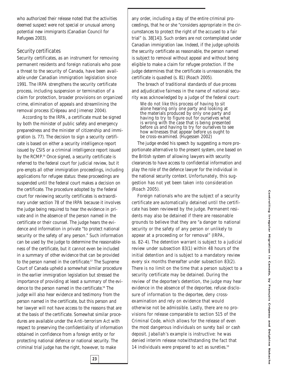who authorized their release noted that the activities deemed suspect were not special or unusual among potential new immigrants (Canadian Council for Refugees 2003).

#### *Security certificates*

Security certificates, as an instrument for removing permanent residents and foreign nationals who pose a threat to the security of Canada, have been available under Canadian immigration legislation since 1991. The *IRPA* strengthens the security certificate process, including suspension or termination of a claim for protection, broader provisions on organized crime, elimination of appeals and streamlining the removal process (Crépeau and Jimenez 2004).

According to the *IRPA*, a certificate must be signed by both the minister of public safety and emergency preparedness and the minister of citizenship and immigration (s. 77). The decision to sign a security certificate is based on either a security intelligence report issued by CSIS or a criminal intelligence report issued by the RCMP.<sup>56</sup> Once signed, a security certificate is referred to the federal court for judicial review, but it pre-empts all other immigration proceedings, including applications for refugee status: these proceedings are suspended until the federal court makes a decision on the certificate. The procedure adopted by the federal court for reviewing security certificates is extraordinary under section 78 of the *IRPA* because it involves the judge being required to hear the evidence in private and in the absence of the person named in the certificate or their counsel. The judge hears the evidence and information in private "to protect national security or the safety of any person." Such information can be used by the judge to determine the reasonableness of the certificate, but it cannot even be included in a summary of other evidence that can be provided to the person named in the certificate.<sup>57</sup> The Supreme Court of Canada upheld a somewhat similar procedure in the earlier immigration legislation but stressed the importance of providing at least a summary of the evidence to the person named in the certificate.<sup>58</sup> The judge will also hear evidence and testimony from the person named in the certificate, but this person and her lawyer will not have access to the reasons that are at the basis of the certificate. Somewhat similar procedures are available under the *Anti-terrorism Act* with respect to preserving the confidentiality of information obtained in confidence from a foreign entity or for protecting national defence or national security. The criminal trial judge has the right, however, to make

any order, including a stay of the entire criminal proceedings, that he or she "considers appropriate in the circumstances to protect the right of the accused to a fair trial" (s. 38[14]). Such orders are not contemplated under Canadian immigration law. Indeed, if the judge upholds the security certificate as reasonable, the person named is subject to removal without appeal and without being eligible to make a claim for refugee protection. If the judge determines that the certificate is unreasonable, the certificate is quashed (s. 81) (Roach 2005).

The breach of traditional standards of due process and adjudicative fairness in the name of national security was acknowledged by a judge of the federal court:

We do not like this process of having to sit alone hearing only one party and looking at the materials produced by only one party and having to try to figure out for ourselves what is wrong with the case that is being presented before us and having to try for ourselves to see how witnesses that appear before us ought to be cross-examined. (Hugessen 2002)

The judge ended his speech by suggesting a more proportionate alternative to the present system, one based on the British system of allowing lawyers with security clearances to have access to confidential information and play the role of the defence lawyer for the individual in the national security context. Unfortunately, this suggestion has not yet been taken into consideration (Roach 2005).

Foreign nationals who are the subject of a security certificate are automatically detained until the certificate has been reviewed by the judge. Permanent residents may also be detained if there are reasonable grounds to believe that they are "a danger to national security or the safety of any person or unlikely to appear at a proceeding or for removal" (*IRPA*, ss. 82-4). The detention warrant is subject to a judicial review under subsection 83(1) within 48 hours of the initial detention and is subject to a mandatory review every six months thereafter under subsection 83(2). There is no limit on the time that a person subject to a security certificate may be detained. During the review of the deportee's detention, the judge may hear evidence in the absence of the deportee, refuse disclosure of information to the deportee, deny crossexamination and rely on evidence that would otherwise not be admissible. Lastly, there are no provisions for release comparable to section 515 of the Criminal Code, which allows for the release of even the most dangerous individuals on surety bail or cash deposit. *Jaballah*'s example is instructive: he was denied interim release notwithstanding the fact that 14 individuals were prepared to act as sureties.<sup>59</sup>

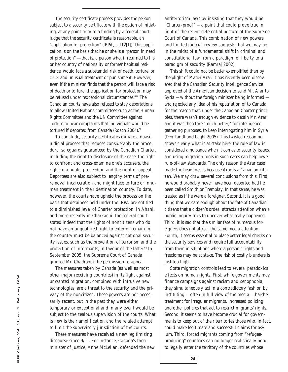The security certificate process provides the person subject to a security certificate with the option of initiating, at any point prior to a finding by a federal court judge that the security certificate is reasonable, an "application for protection" (*IRPA*, s. 112[1]). This application is on the basis that he or she is a "person in need of protection" — that is, a person who, if returned to his or her country of nationality or former habitual residence, would face a substantial risk of death, torture, or cruel and unusual treatment or punishment. However, even if the minister finds that the person will face a risk of death or torture, the application for protection may be refused under "exceptional circumstances."60 The Canadian courts have also refused to stay deportations to allow United Nations committees such as the Human Rights Committee and the UN Committee against Torture to hear complaints that individuals would be tortured if deported from Canada (Roach 2004).<sup>61</sup>

To conclude, security certificates initiate a quasijudicial process that reduces considerably the procedural safeguards guaranteed by the Canadian Charter, including the right to disclosure of the case, the right to confront and cross-examine one's accusers, the right to a public proceeding and the right of appeal. Deportees are also subject to lengthy terms of preremoval incarceration and might face torture or inhuman treatment in their destination country. To date, however, the courts have upheld the process on the basis that detainees held under the *IRPA* are entitled to a diminished level of Charter protection. In *Ahani,* and more recently in *Charkaoui,* the federal court stated indeed that the rights of noncitizens who do not have an unqualified right to enter or remain in the country must be balanced against national security issues, such as the prevention of terrorism and the protection of informants, in favour of the latter.<sup>62</sup> In September 2005, the Supreme Court of Canada granted Mr. Charkaoui the permission to appeal.

The measures taken by Canada (as well as most other major receiving countries) in its fight against unwanted migration, combined with intrusive new technologies, are a threat to the security and the privacy of the noncitizen. These powers are not necessarily recent, but in the past they were either temporary or exceptional and in any event would be subject to the zealous supervision of the courts. What is new is their amplification and the related attempt to limit the supervisory jurisdiction of the courts.

These measures have received a new legitimizing discourse since 9/11. For instance, Canada's thenminister of justice, Anne McLellan, defended the new antiterrorism laws by insisting that they would be "Charter-proof" — a point that could prove true in light of the recent deferential posture of the Supreme Court of Canada. This combination of new powers and limited judicial review suggests that we may be in the midst of a fundamental shift in criminal and constitutional law from a paradigm of liberty to a paradigm of security (Ramraj 2002).

This shift could not be better exemplified than by the plight of Maher Arar. It has recently been discovered that the Canadian Security Intelligence Service approved of the American decision to send Mr. Arar to Syria — without the foreign minister being informed and rejected any idea of his repatriation of to Canada, for the reason that, under the Canadian Charter principles, there wasn't enough evidence to detain Mr. Arar, and it was therefore "much better," for intelligencegathering purposes, to keep interrogating him in Syria (Den Tandt and Laghi 2005). This twisted reasoning shows clearly what is at stake here: the rule of law is considered a nuisance when it comes to security issues, and using migration tools in such cases can help lower rule-of-law standards. The only reason the Arar case made the headlines is because Arar is a Canadian citizen. We may draw several conclusions from this. First, he would probably never have been deported had he been called Smith or Tremblay. In that sense, he was treated as if he were a foreigner. Second, it is a good thing that we care enough about the fate of Canadian citizens that a citizen's ordeal attracts attention when a public inquiry tries to uncover what really happened. Third, it is sad that the similar fate of numerous foreigners does not attract the same media attention. Fourth, it seems essential to place better legal checks on the security services and require full accountability from them in situations where a person's rights and freedoms may be at stake. The risk of costly blunders is just too high.

State migration controls lead to several paradoxical effects on human rights. First, while governments may finance campaigns against racism and xenophobia, they simultaneously act in a contradictory fashion by instituting — often in full view of the media — harsher treatment for irregular migrants, increased policing and other policies that act to restrict migrants' rights. Second, it seems to have become crucial for governments to keep out of their territories those who, in fact, could make legitimate and successful claims for asylum. Third, forced migrants coming from "refugeeproducing" countries can no longer realistically hope to legally enter the territory of the countries whose

**24**

IRPP Choices, Vol. 12, no. 1, February 2006 **IRPP Choices, Vol. 12, no. 1, February 2006**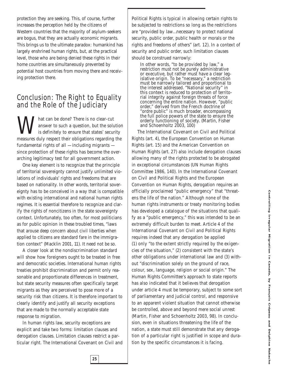protection they are seeking. This, of course, further increases the perception held by the citizens of Western countries that the majority of asylum-seekers are bogus, that they are actually economic migrants. This brings us to the ultimate paradox: humankind has largely enshrined human rights, but, at the practical level, those who are being denied these rights in their home countries are simultaneously prevented by potential host countries from moving there and receiving protection there.

# Conclusion: The Right to Equality and the Role of the Judiciary

Musical be done? There is no clear-cut<br>answer to such a question, but the solution is definitely to ensure that states' secule<br>measures duly respect their obligations regarding answer to such a question, but the solution is definitely to ensure that states' security measures duly respect their obligations regarding the fundamental rights of all — including migrants since protection of these rights has become the overarching legitimacy test for all government action.

One key element is to recognize that the principle of territorial sovereignty cannot justify unlimited violations of individuals' rights and freedoms that are based on nationality. In other words, territorial sovereignty has to be conceived in a way that is compatible with existing international and national human rights regimes. It is essential therefore to recognize and clarify the rights of noncitizens in the state sovereignty context. Unfortunately, too often, for most politicians as for public opinion in these troubled times, "laws that arouse deep concern about civil liberties when applied to citizens are standard fare in the immigration context" (Macklin 2001, 11). It need not be so.

A closer look at the nondiscrimination standard will show how foreigners ought to be treated in free and democratic societies. International human rights treaties prohibit discrimination and permit only reasonable and proportionate differences in treatment, but state security measures often specifically target migrants as they are perceived to pose more of a security risk than citizens. It is therefore important to clearly identify and justify all security exceptions that are made to the normally acceptable state response to migration.

In human rights law, security exceptions are explicit and take two forms: limitation clauses and derogation clauses. Limitation clauses restrict a particular right. The International Covenant on Civil and

**25**

Political Rights is typical in allowing certain rights to be subjected to restrictions so long as the restrictions are "provided by law…necessary to protect national security, public order, public health or morals or the rights and freedoms of others" (art. 12). In a context of security and public order, such limitation clauses should be construed *narrowly*:

In other words, "to be provided by law," a restriction must not be purely administrative or executive, but rather must have a clear legislative origin. To be "necessary," a restriction must be narrowly tailored and proportional to the interest addressed. "National security" in this context is reduced to protection of territorial integrity against foreign threats of force concerning the entire nation. However, "public order," derived from the French doctrine of "ordre public" is much broader, encompassing the full police powers of the state to ensure the orderly functioning of society. (Martin, Fisher and Schoenholtz 2003, 100)

The International Covenant on Civil and Political Rights (art. 4), the European Convention on Human Rights (art. 15) and the American Convention on Human Rights (art. 27) also include derogation clauses allowing many of the rights protected to be abrogated in exceptional circumstances (UN Human Rights Committee 1986, 140). In the International Covenant on Civil and Political Rights and the European Convention on Human Rights, derogation requires an officially proclaimed "public emergency" that "threatens the life of the nation." Although none of the human rights instruments or treaty monitoring bodies has developed a catalogue of the situations that qualify as a "public emergency," this was intended to be an extremely difficult burden to meet. Article 4 of the International Covenant on Civil and Political Rights requires indeed that any derogation be applied (1) only "to the extent strictly required by the exigencies of the situation," (2) consistent with the state's other obligations under international law and (3) without "discrimination solely on the ground of race, colour, sex, language, religion or social origin." The Human Rights Committee's approach to state reports has also indicated that it believes that derogation under article 4 must be temporary, subject to some sort of parliamentary and judicial control, and responsive to an apparent violent situation that cannot otherwise be controlled, above and beyond mere social unrest (Martin, Fisher and Schoenholtz 2003, 98). In conclusion, even in situations threatening the life of the nation, a state must still demonstrate that any derogation of a particular right is justified in scope and duration by the specific circumstances it is facing.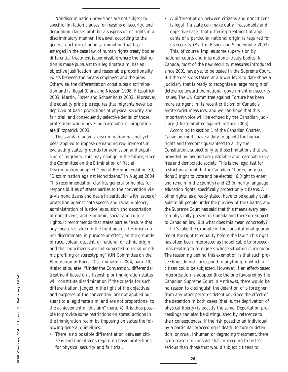Nondiscrimination provisions are not subject to specific limitation clauses for reasons of security, and derogation clauses prohibit a suspension of rights in a discriminatory manner. However, according to the general doctrine of nondiscrimination that has emerged in the case law of human rights treaty bodies, differential treatment is permissible where the distinction is made pursuant to a legitimate aim, has an objective justification, and reasonable proportionality exists between the means employed and the aims. Otherwise, the differentiation constitutes discrimination and is illegal (Clark and Niessan 1998; Fitzpatrick 2003; Martin, Fisher and Schoenholtz 2003). Moreover, the equality principle requires that migrants *never* be deprived of basic protections of physical security and fair trial, and consequently selective denial of those protections would never be reasonable or proportionate (Fitzpatrick 2003).

The standard against discrimination has not yet been applied to impose demanding requirements in evaluating states' grounds for admission and expulsion of migrants. This may change in the future, since the Committee on the Elimination of Racial Discrimination adopted General Recommendation 30, "Discrimination against Noncitizens," in August 2004. This recommendation clarifies general principles for responsibilities of states parties to the convention visà-vis noncitizens and deals in particular with issues of protection against hate speech and racial violence; administration of justice; expulsion and deportation of noncitizens; and economic, social and cultural rights. It recommends that states parties "ensure that any measures taken in the fight against terrorism do not discriminate, in purpose or effect, on the grounds of race, colour, descent, or national or ethnic origin and that noncitizens are not subjected to racial or ethnic profiling or stereotyping" (UN Committee on the Elimination of Racial Discrimination 2004, para. 10). It also stipulates: "Under the Convention, differential treatment based on citizenship or immigration status will constitute discrimination if the criteria for such differentiation, judged in the light of the objectives and purposes of the convention, are not applied pursuant to a legitimate aim, and are not proportional to the achievement of this aim" (para. 4). It is thus possible to provide some restrictions on states' actions in the immigration realm by imposing on states the following general guidelines:

• There is no possible differentiation between citizens and noncitizens regarding basic protections for physical security and fair trial.

• A differentiation between citizens and noncitizens is legal if a state can make out a "reasonable and objective case" that differing treatment of applicants of a particular national origin is required for its security (Martin, Fisher and Schoenholtz 2003).

This, of course, implies some supervision by national courts and international treaty bodies. In Canada, most of the new security measures introduced since 2001 have yet to be tested in the Supreme Court. But the decisions taken at a lower level to date show a judiciary that is ready to recognize a large margin of deference toward the national government on security issues. The UN Committee against Torture has been more stringent in its recent criticism of Canada's antiterrorist measures, and we can hope that this important voice will be echoed by the Canadian judiciary (UN Committee against Torture 2005).

According to section 1 of the Canadian Charter, Canadian courts have a duty to uphold the human rights and freedoms guaranteed to all by the Constitution, subject only to those limitations that are provided by law and are justifiable and reasonable in a free and democratic society. This is the legal test for restricting a right. In the Canadian Charter, only sections 3 (right to vote and be elected), 6 (right to enter and remain in the country) and 23 (minority language education rights) specifically protect only citizens. All other rights, as already stated, have to be equally available to *all* people under the purview of the Charter, and the Supreme Court has said that this means *every* person physically present in Canada and therefore subject to Canadian law. But what does this mean concretely?

Let's take the example of the constitutional guarantee of the right to equality before the law.63 This right has often been interpreted as inapplicable to proceedings relating to foreigners whose situation is irregular. The reasoning behind this exemption is that such proceedings do not correspond to anything to which a citizen could be subjected. However, if an effect-based interpretation is adopted (like the one favoured by the Canadian Supreme Court in *Andrews*), there would be no reason to distinguish the detention of a foreigner from any other person's detention, since the effect of the detention in both cases (that is, the deprivation of physical liberty) is exactly the same. Deportation proceedings can also be distinguished by reference to their consequences. If the risk posed to an individual by a particular proceeding is death, torture or detention, or cruel, inhuman or degrading treatment, there is no reason to consider that proceeding to be less serious than those that would subject citizens to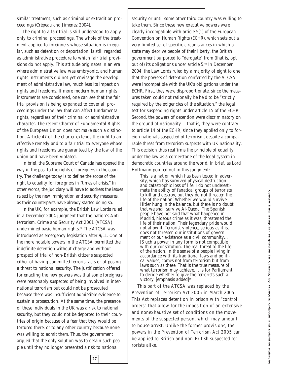similar treatment, such as criminal or extradition proceedings (Crépeau and Jimenez 2004).

The right to a fair trial is still understood to apply only to criminal proceedings. The whole of the treatment applied to foreigners whose situation is irregular, such as detention or deportation, is still regarded as administrative procedure to which fair trial provisions do not apply. This attitude originates in an era where administrative law was embryonic, and human rights instruments did not yet envisage the development of administrative law, much less its impact on rights and freedoms. If more modern human rights instruments are considered, one can see that the fair trial provision is being expanded to cover all proceedings under the law that can affect fundamental rights, regardless of their criminal or administrative character. The recent Charter of Fundamental Rights of the European Union does not make such a distinction. Article 47 of the charter extends the right to an effective remedy and to a fair trial to *everyone* whose rights and freedoms are guaranteed by the law of the union and have been violated.

In brief, the Supreme Court of Canada has opened the way in the past to the rights of foreigners in the country. The challenge today is to define the scope of the right to equality for foreigners in "times of crisis." In other words, the judiciary will have to address the issues raised by the new immigration and security measures, as their counterparts have already started doing so.

In the UK, for example, the British Law Lords ruled in a December 2004 judgment that the nation's *Antiterrorism, Crime and Security Act 2001* (*ATCSA*) undermined basic human rights.64 The *ATCSA* was introduced as emergency legislation after 9/11. One of the more notable powers in the *ATCSA* permitted the indefinite detention without charge and without prospect of trial of non-British citizens suspected either of having committed terrorist acts or of posing a threat to national security. The justification offered for enacting the new powers was that some foreigners were reasonably suspected of being involved in international terrorism but could not be prosecuted because there was insufficient admissible evidence to sustain a prosecution. At the same time, the presence of these individuals in the UK was a risk to national security, but they could not be deported to their countries of origin because of a fear that they would be tortured there, or to any other country because none was willing to admit them. Thus, the government argued that the only solution was to detain such people until they no longer presented a risk to national

security or until some other third country was willing to take them. Since these new executive powers were clearly incompatible with article 5(1) of the European Convention on Human Rights (ECHR), which sets out a very limited set of specific circumstances in which a state may deprive people of their liberty, the British government purported to "derogate" from (that is, opt out of) its obligations under article 5.65 In December 2004, the Law Lords ruled by a majority of eight to one that the powers of detention conferred by the *ATCSA* were incompatible with the UK's obligations under the ECHR. First, they were disproportionate, since the measures taken could not rationally be held to be "strictly required by the exigencies of the situation," the legal test for suspending rights under article 15 of the ECHR. Second, the powers of detention were discriminatory on the ground of nationality  $-$  that is, they were contrary to article 14 of the ECHR, since they applied only to foreign nationals suspected of terrorism, despite a comparable threat from terrorism suspects with UK nationality. This decision thus reaffirms the principle of equality under the law as a cornerstone of the legal system in democratic countries around the world. In brief, as Lord Hoffmann pointed out in this judgment:

This is a nation which has been tested in adversity, which has survived physical destruction and catastrophic loss of life. I do not underestimate the ability of fanatical groups of terrorists to kill and destroy, but they do not threaten the life of the nation. Whether we would survive Hitler hung in the balance, but there is no doubt that we shall survive Al-Qaeda. The Spanish people have not said that what happened in Madrid, hideous crime as it was, threatened the life of their nation. Their legendary pride would not allow it. Terrorist violence, serious as it is, does not threaten our institutions of government or our existence as a civil community… [S]uch a power in any form is not compatible with our constitution. The real threat to the life of the nation, in the sense of a people living in accordance with its traditional laws and political values, comes not from terrorism but from laws such as these. That is the true measure of what terrorism may achieve. It is for Parliament to decide whether to give the terrorists such a victory. [emphasis added]<sup>66</sup>

This part of the *ATCSA* was replaced by the *Prevention of Terrorism Act 2005* in March 2005. This Act replaces detention in prison with "control orders" that allow for the imposition of an extensive and nonexhaustive set of conditions on the movements of the suspected person, which may amount to house arrest. Unlike the former provisions, the powers in the *Prevention of Terrorism Act 2005* can be applied to British and non-British suspected terrorists alike.

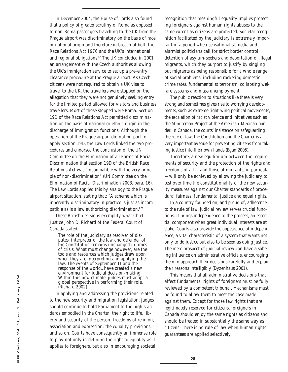In December 2004, the House of Lords also found that a policy of greater scrutiny of Roma as opposed to non-Roma passengers travelling to the UK from the Prague airport was discriminatory on the basis of race or national origin and therefore in breach of both the *Race Relations Act 1976* and the UK's international and regional obligations.<sup>67</sup> The UK concluded in 2001 an arrangement with the Czech authorities allowing the UK's immigration service to set up a pre-entry clearance procedure at the Prague airport. As Czech citizens were not required to obtain a UK visa to travel to the UK, the travellers were stopped on the allegation that they were not genuinely seeking entry for the limited period allowed for visitors and business travellers. Most of those stopped were Roma. Section 19D of the *Race Relations Act* permitted discrimination on the basis of national or ethnic origin in the discharge of immigration functions. Although the operation at the Prague airport did not purport to apply section 19D, the Law Lords linked the two procedures and endorsed the conclusion of the UN Committee on the Elimination of all Forms of Racial Discrimination that section 19D of the British R*ace Relations Act* was "incompatible with the very principle of non-discrimination" (UN Committee on the Elimination of Racial Discrimination 2003, para. 16). The Law Lords applied this by analogy to the Prague airport situation, stating that: "A scheme which is inherently discriminatory in practice is just as incompatible as is a law authorizing discrimination."68

These British decisions exemplify what Chief Justice John D. Richard of the Federal Court of Canada stated:

The role of the judiciary as resolver of disputes, interpreter of the law and defender of the Constitution remains unchanged in times of crisis. What must change however, are the tools and resources which judges draw upon when they are interpreting and applying the law. The events of September 11 and the response of the world…have created a new environment for judicial decision-making. Within this new climate, judges must adopt a global perspective in performing their role. (Richard 2002)

In applying and addressing the provisions related to the new security and migration legislation, judges should continue to hold Parliament to the high standards embodied in the Charter: the right to life, liberty and security of the person; freedoms of religion, association and expression; the equality provisions, and so on. Courts have consequently an immense role to play not only in defining the right to equality as it applies to foreigners, but also in encouraging societal

recognition that meaningful equality implies protecting foreigners against human rights abuses to the same extent as citizens are protected. Societal recognition facilitated by the judiciary is extremely important in a period when sensationalist media and alarmist politicians call for strict border control, detention of asylum-seekers and deportation of illegal migrants, which they purport to justify by singling out migrants as being responsible for a whole range of social problems, including rocketing domestic crime rates, fundamentalist terrorism, collapsing welfare systems and mass unemployment.

The public reaction to situations like these is very strong and sometimes gives rise to worrying developments, such as extreme right-wing political movements, the escalation of racist violence and initiatives such as the Minuteman Project at the American-Mexican border. In Canada, the courts' insistence on safeguarding the rule of law, the Constitution and the Charter is a very important avenue for preventing citizens from taking justice into their own hands (Egan 2005).

Therefore, a new equilibrium between the requirements of security and the protection of the rights and freedoms of all — and those of migrants, in particular — will only be achieved by allowing the judiciary to test over time the constitutionality of the new security measures against our Charter standards of procedural fairness, fundamental justice and equal rights.

In a country founded on, and proud of, adherence to the rule of law, judicial review serves crucial functions. It brings independence to the process, an essential component when great individual interests are at stake. Courts also provide the appearance of independence, a vital characteristic of a system that wants not only to do justice but also to be seen as doing justice. The mere prospect of judicial review can have a sobering influence on administrative officials, encouraging them to approach their decisions carefully and explain their reasons intelligibly (Dyzenhaus 2001).

This means that all administrative decisions that affect fundamental rights of foreigners must be fully reviewed by a competent tribunal. Mechanisms must be found to allow them to meet the case made against them. Except for those few rights that are legitimately reserved for citizens, foreigners in Canada should enjoy the same rights as citizens and should be treated in substantially the same way as citizens. There is no rule of law when human rights guarantees are applied selectively.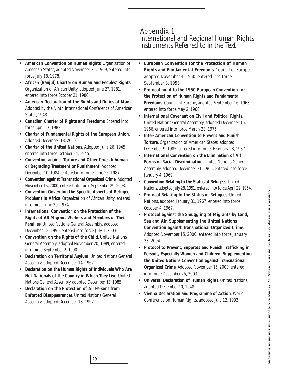### Appendix 1 International and Regional Human Rights Instruments Referred to in the Text

- **American Convention on Human Rights**. Organization of American States, adopted November 22, 1969, entered into force July 18, 1978.
- **African [Banjul] Charter on Human and Peoples' Rights**. Organization of African Unity, adopted June 27, 1981, entered into force 0ctober 21, 1986.
- **American Declaration of the Rights and Duties of Man.** Adopted by the Ninth International Conference of American States, 1948.
- **Canadian Charter of Rights and Freedoms**. Entered into force April 17, 1982.
- **Charter of Fundamental Rights of the European Union**. Adopted December 18, 2000.
- **Charter of the United Nations**. Adopted June 26, 1945, entered into force October 24, 1945.
- **Convention against Torture and Other Cruel, Inhuman or Degrading Treatment or Punishment**. Adopted December 10, 1984, entered into force June 26, 1987.
- **Convention against Transnational Organized Crime**. Adopted November 15, 2000, entered into force September 29, 2003.
- **Convention Governing the Specific Aspects of Refugee Problems in Africa**. Organization of African Unity, entered into force June 20, 1974.
- **International Convention on the Protection of the Rights of All Migrant Workers and Members of Their Families**. United Nations General Assembly, adopted December 18, 1990, entered into force July 1, 2003.
- **Convention on the Rights of the Child**. United Nations General Assembly, adopted November 20, 1989, entered into force September 2, 1990.
- **Declaration on Territorial Asylum**. United Nations General Assembly, adopted December 14, 1967.
- **Declaration on the Human Rights of Individuals Who Are Not Nationals of the Country in Which They Live**. United Nations General Assembly, adopted December 13, 1985.

**29**

• **Declaration on the Protection of All Persons from Enforced Disappearances**. United Nations General Assembly, adopted December 18, 1992.

- **European Convention for the Protection of Human Rights and Fundamental Freedoms**. Council of Europe, adopted November 4, 1950, entered into force September 3, 1953.
- **Protocol no. 4 to the 1950 European Convention for the Protection of Human Rights and Fundamental Freedoms**. Council of Europe, adopted September 16, 1963, entered into force May 2, 1968.
- **International Covenant on Civil and Political Rights**. United Nations General Assembly, adopted December 16, 1966, entered into force March 23, 1976.
- **Inter-American Convention to Prevent and Punish Torture**. Organization of American States, adopted December 9, 1985, entered into force February 28, 1987.
- **International Convention on the Elimination of All Forms of Racial Discrimination**. United Nations General Assembly, adopted December 21, 1965, entered into force January 4, 1969.
- **Convention Relating to the Status of Refugees**. United Nations, adopted July 28, 1951, entered into force April 22, 1954.
- **Protocol Relating to the Status of Refugees**. United Nations, adopted January 31, 1967, entered into force October 4, 1967.
- **Protocol against the Smuggling of Migrants by Land, Sea and Air, Supplementing the United Nations Convention against Transnational Organized Crime**. Adopted November 15, 2000, entered into force January 28, 2004.
- **Protocol to Prevent, Suppress and Punish Trafficking in Persons, Especially Women and Children, Supplementing the United Nations Convention against Transnational Organized Crime**. Adopted November 15, 2000, entered into force December 25, 2003.
- **Universal Declaration of Human Rights**. United Nations, adopted December 10, 1948.
- **Vienna Declaration and Programme of Action**. World Conference on Human Rights, adopted July 12, 1993.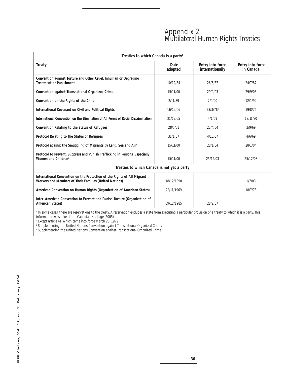# Appendix 2 Multilateral Human Rights Treaties

| Treaties to which Canada is a party <sup>1</sup>                                                                                                                                                                                        |                 |                                     |                               |  |
|-----------------------------------------------------------------------------------------------------------------------------------------------------------------------------------------------------------------------------------------|-----------------|-------------------------------------|-------------------------------|--|
| Treaty                                                                                                                                                                                                                                  | Date<br>adopted | Entry into force<br>internationally | Entry into force<br>in Canada |  |
| Convention against Torture and Other Cruel, Inhuman or Degrading<br>Treatment or Punishment                                                                                                                                             | 10/12/84        | 26/6/87                             | 24/7/87                       |  |
| Convention against Transnational Organized Crime                                                                                                                                                                                        | 15/11/00        | 29/9/03                             | 29/9/03                       |  |
| Convention on the Rights of the Child                                                                                                                                                                                                   | 2/11/89         | 2/9/90                              | 12/1/92                       |  |
| International Covenant on Civil and Political Rights                                                                                                                                                                                    | 16/12/66        | 23/3/76 <sup>2</sup>                | 19/8/76                       |  |
| International Convention on the Elimination of All Forms of Racial Discrimination                                                                                                                                                       | 21/12/65        | 4/1/69                              | 13/11/70                      |  |
| Convention Relating to the Status of Refugees                                                                                                                                                                                           | 28/7/51         | 22/4/54                             | 2/9/69                        |  |
| Protocol Relating to the Status of Refugees                                                                                                                                                                                             | 31/1/67         | 4/10/67                             | 4/6/69                        |  |
| Protocol against the Smuggling of Migrants by Land, Sea and Air <sup>3</sup>                                                                                                                                                            | 15/11/00        | 28/1/04                             | 28/1/04                       |  |
| Protocol to Prevent, Suppress and Punish Trafficking in Persons, Especially<br>Women and Children <sup>4</sup>                                                                                                                          | 15/11/00        | 25/12/03                            | 25/12/03                      |  |
| Treaties to which Canada is not yet a party                                                                                                                                                                                             |                 |                                     |                               |  |
| International Convention on the Protection of the Rights of All Migrant<br>Workers and Members of Their Families (United Nations)                                                                                                       | 18/12/1990      |                                     | 1/7/03                        |  |
| American Convention on Human Rights (Organization of American States)                                                                                                                                                                   | 22/11/1969      |                                     | 18/7/78                       |  |
| Inter-American Convention to Prevent and Punish Torture (Organization of<br>American States)                                                                                                                                            | 09/12/1985      | 28/2/87                             |                               |  |
| <sup>1</sup> In some cases, there are reservations to the treaty. A reservation excludes a state from executing a particular provision of a treaty to which it is a party. This<br>information was taken from Canadian Heritage (2005). |                 |                                     |                               |  |

<sup>2</sup> Except article 41, which came into force March 28, 1979.

<sup>3</sup> Supplementing the United Nations Convention against Transnational Organized Crime.

<sup>4</sup> Supplementing the United Nations Convention against Transnational Organized Crime.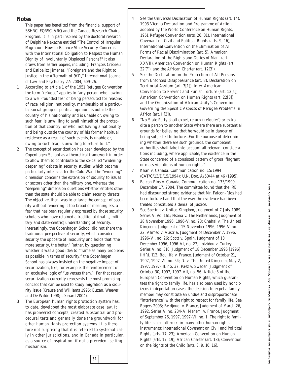**Notes**

- This paper has benefited from the financial support of SSHRC, FQRSC, VRQ and the Canada Research Chairs Program. It is in part inspired by the doctoral research of Delphine Nakache entitled "The Control of Irregular Migration: How to Balance State Security Concerns with the International Obligation to Respect the Human Dignity of Involuntarily Displaced Persons?" It also draws from earlier papers, including, François Crépeau and Estibalitz Jimenez, "Foreigners and the Right to Justice in the Aftermath of 9/11," *International Journal of Law and Psychiatry* 27: 2004, 609-26.
- 1 According to article 1 of the 1951 Refugee Convention, the term "refugee" applies to "any person who...owing to a well-founded fear of being persecuted for reasons of race, religion, nationality, membership of a particular social group or political opinion, is outside the country of his nationality and is unable or, owing to such fear, is unwilling to avail himself of the protection of that country; or who, not having a nationality and being outside the country of his former habitual residence as a result of such events, is unable or, owing to such fear, is unwilling to return to it."
- 2 The concept of securitization has been developed by the Copenhagen School as a theoretical framework in order to allow them to contribute to the so-called "wideningdeepening" debate in security studies, which became particularly intense after the Cold War. The "widening" dimension concerns the extension of security to issues or sectors other than the military one, whereas the "deepening" dimension questions whether entities other than the state should be able to claim security threats. The objective, then, was to enlarge the concept of security without rendering it too broad or meaningless, a fear that has been regularly expressed by those security scholars who have retained a traditional (that is, military and state-centric) understanding of security. Interestingly, the Copenhagen School did not share the traditional perspective of security, which considers security the opposite of insecurity and holds that "the more security, the better." Rather, by questioning whether it was a good idea to "frame as many problems as possible in terms of security," the Copenhagen School has always insisted on the negative impact of securitization, like, for example, the reinforcement of an exclusive logic of "us versus them." For that reason, securitization currently represents the most promising concept that can be used to study migration as a security issue (Krause and Williams 1996; Buzan, Waever and De Wilde 1998; Léonard 2004).
- 3 The European human rights protection system has, to date, developed the most elaborate case law. It has pioneered concepts, created substantial and procedural tests and generally done the groundwork for other human rights protection systems. It is therefore not surprising that it is referred to systematically in other jurisdictions, and in Canada in particular, as a source of inspiration, if not a precedent-setting mechanism.

- 4 See the Universal Declaration of Human Rights (art. 14), 1993 Vienna Declaration and Programme of Action adopted by the World Conference on Human Rights, 1951 Refugee Convention (arts. 26, 31), International Covenant on Civil and Political Rights (arts. 9, 16), International Convention on the Elimination of All Forms of Racial Discrimination (art. 5), American Declaration of the Rights and Duties of Man (art. XXVII), American Convention on Human Rights (art. 22[7]), and the African Charter (art. 12[3]).
- 5 See the Declaration on the Protection of All Persons from Enforced Disappearance (art. 8), Declaration on Territorial Asylum (art. 3[1]), Inter-American Convention to Prevent and Punish Torture (art. 13[4]), American Convention on Human Rights (art. 22[8]), and the Organization of African Unity's Convention Governing the Specific Aspects of Refugee Problems in Africa (art. II[3]).
- 6 "No State Party shall expel, return ('refouler') or extradite a person to another State where there are substantial grounds for believing that he would be in danger of being subjected to torture...For the purpose of determining whether there are such grounds, the competent authorities shall take into account all relevant considerations including, where applicable, the existence in the State concerned of a consisted pattern of gross, flagrant or mass violations of human rights."
- 7 *Khan v. Canada*, Communication no. 15/1994, (CAT/C/13/D/15/1994); U.N. Doc. A/50/44 at 46 (1995).
- 8 *Falcon Ríos v. Canada*, Communication no. 133/1999, December 17, 2004. The committee found that the IRB had discounted strong evidence that Mr. Falcon-Rios had been tortured and that the way the evidence had been treated constituted a denial of justice.
- 9 See *Soering v. United Kingdom*, Judgment of 7 July 1989, Series A, Vol.161; *Nsona v. The Netherlands*, Judgment of 28 November 1996, 1996-V, no. 23; *Chahal v. The United Kingdom*, Judgment of 15 November 1996, 1996-V, no. 22; *Ahmed v. Austria*, Judgment of December 7, 1996, 1996-VI, no. 26; *Scott v. Spain*, Judgment of 18 December 1996, 1996-VI, no. 27; *Loizidou v. Turkey,* Series A, no. 310, Judgment of 18 December 1996 [1996] IIHRL 112; *Boujlifa v. France*, Judgment of October 21, 1997, 1997-VI, no. 54*; D. v. The United Kingdom*, May 2, 1997, 1997-III, no. 37; *Paez v. Sweden*, Judgment of October 30, 1997, 1997-VII, no. 56. Article 8 of the European Convention on Human Rights, which guarantees the right to family life, has also been used by noncitizens in deportation cases: the decision to expel a family member may constitute an undue and disproportionate "interference" with the right to respect for family life. See Rogers 2003; *Beldjoudi v. France*, Judgment of March 26, 1992, Series A, no. 234-A; *Mehemi v. France*, Judgment of September 26, 1997, 1997-VI, no. 1. The right to family life is also affirmed in many other human rights instruments: International Covenant on Civil and Political Rights (arts. 17, 23); American Convention on Human Rights (arts. 17, 19); African Charter (art. 18); Convention on the Rights of the Child (arts. 3, 9, 10, 16).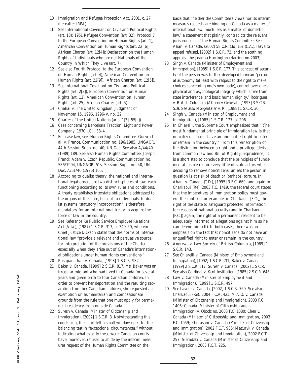- 10 *Immigration and Refugee Protection Act*, 2001, c. 27 (hereafter IRPA).
- 11 See International Covenant on Civil and Political Rights (art. 13); 1951 Refugee Convention (art. 32); Protocol 7 to the European Convention on Human Rights (art. 1); American Convention on Human Rights (art. 22 [6]); African Charter (art. 12[4]); Declaration on the Human Rights of Individuals who are not Nationals of the Country in Which They Live (art. 7).
- 12 See also Fourth Protocol to the European Convention on Human Rights (art. 4), American Convention on Human Rights (art. 22[9]), African Charter (art. 12[5]).
- 13 See International Covenant on Civil and Political Rights (art. 2[3]), European Convention on Human Rights (art. 13), American Convention on Human Rights (art. 25), African Charter (art. 5).
- 14 *Chahal v. The United Kingdom*, Judgment of November 15, 1996, 1996-V, no. 22.
- 15 Charter of the United Nations (arts. 1[3], 55[c]).
- 16 *Case concerning Barcelona Traction, Light and Power Company*, 1970 I.C.J. 33-4.
- 17 For case law, see Human Rights Committee*, Gueye et al. v. France*, Communication no. 196/1985, UNGAOR, 44th Session Supp. no. 40; UN Doc. See also A/44/40 (1989) 189. See also Human Rights Committee, *Joseph Franck Adam v. Czech Republic*, Communication no. 586/1994, UNGAOR, 51st Session, Supp. no. 40, UN Doc. A/51/40 (1996) 165.
- 18 According to dualist theory, the national and international legal orders are two distinct spheres of law, each functioning according to its own rules and conditions. A treaty establishes interstate obligations addressed to the organs of the state, but not to individuals. In dualist systems "statutory incorporation" is therefore mandatory for an international treaty to acquire the force of law in the country.
- 19 See *Reference Re Public Service Employee Relations Act* (Alta.), (1987) 1 S.C.R. 313, at 349-50, wherein Chief Justice Dickson states that the norms of international law "provide a relevant and persuasive source for interpretation of the provisions of the Charter, especially when they arise out of Canada's international obligations under human rights conventions."
- 20 *Pushpanathan v. Canada*, [1998] 1 S.C.R. 982.
- 21 *Baker v. Canada*, [1999] 2 S.C.R. 817. Ms. Baker was an irregular migrant who had lived in Canada for several years and given birth to four Canadian children. In order to prevent her deportation and the resulting separation from her Canadian children, she requested an exemption on humanitarian and compassionate grounds from the rule that one must apply for permanent residency from outside Canada.
- 22 *Suresh v. Canada (Minister of Citizenship and Immigration)*, [2002] 1 S.C.R. 3. Notwithstanding this conclusion, the court left a small window open for the balancing test in "exceptional circumstances," without indicating what exactly these were. Canadian courts have, moreover, refused to abide by the interim measures request of the Human Rights Committee on the

basis that "neither the Committee's views nor its interim measures requests are binding on Canada as a matter of international law, much less as a matter of domestic law," a statement that plainly contradicts the relevant jurisprudence of the Human Rights Committee. See *Ahani v. Canada*, (2002) 58 O.R. (3d) 107 (C.A.), leave to appeal refused, [2002] 1 S.C.R. 72, and the scathing appraisal by Joanna Harrington (Harrington 2003).

- 23 *Singh v. Canada (Minister of Employment and Immigration)*, [1985] 1 S.C.R. 177. This concept of security of the person was further developed to mean "personal autonomy (at least with respect to the right to make choices concerning one's own body), control over one's physical and psychological integrity which is free from state interference, and basic human dignity." *Rodriguez v. British Columbia (Attorney General)*, [1993] 3 S.C.R. 519. See also *Morgentaler v. R.*, [1988] 1 S.C.R. 30.
- 24 *Singh v. Canada (Minister of Employment and Immigration)*, [1985] 1 S.C.R. 177, at 206.
- 25 In *Chiarelli,* the Supreme Court emphasized that "[t]he most fundamental principle of immigration law is that noncitizens do not have an unqualified right to enter or remain in the country." From this reinscription of the distinction between a right and a privilege (derived from common law and Bill of Rights jurisprudence), it is a short step to conclude that the principles of fundamental justice require very little of state actors when deciding to remove noncitizens, unless the person in question is at risk of death or (perhaps) torture. In *Ahani v. Canada* (T.D.), [1995] 3 F.C. 669, and again in *Charkaoui (Re)*, 2003 F.C. 1419, the federal court stated that the imperatives of immigration policy must govern the context (for example, in *Charkaoui* [F.C.], the right of the state to safeguard protected information for reasons of national security) and in *Charkaoui* [F.C.]) again, the right of a permanent resident to be adequately informed of allegations against him so he can defend himself). In both cases, there was an emphasis on the fact that noncitizens do not have an unqualified right to enter or remain in the country.
- 26 *Andrews v. Law Society of British Columbia*, [1989] 1 S.C.R. 143.
- 27 See *Chiarelli v. Canada (Minister of Employment and Immigration)*, [1992] 1 S.C.R. 711; *Baker v. Canada*, [1999] 2 S.C.R. 817; *Suresh v. Canada*, [2002] 1 S.C.R. See also *Cardinal v. Kent Institution*, [1985] 2 S.C.R. 643.
- 28 *Law v. Canada (Minister of Employment and Immigration),* [1999] 1 S.C.R. 497.

**32**

29 See *Lavoie v. Canada*, [2002] 1 S.C.R. 769. See also *Charkaoui (Re),* 2004 F.C.A. 421; *M.A.O. v. Canada (Minister of Citizenship and Immigration)*, 2003 F.C. 1406; *Canada (Minister of Citizenship and Immigration) v. Obodzins*, 2003 F.C. 1080; *Chen v. Canada (Minister of Citizenship and Immigration,* 2003 F.C. 1059; *Khorasani v. Canada (Minister of Citizenship and Immigration)*, 2002 F.C.T. 936; *Mazuryk v. Canada (Minister of Citizenship and Immigration)*, 2002 F.C.T. 257; *Sieradzki v. Canada (Minister of Citizenship and Immigration)*, 2003 F.C.T. 225.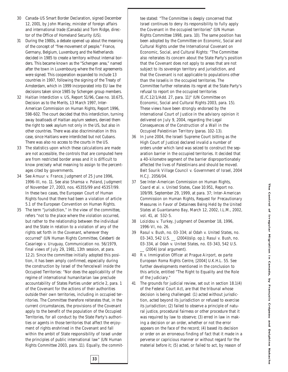- 30 Canada-US Smart Border Declaration, signed December 12, 2001, by John Manley, minister of foreign affairs and international trade (Canada) and Tom Ridge, director of the Office of Homeland Security (US).
- 31 During the 1980s, a debate opened up about the meaning of the concept of "free movement of people." France, Germany, Belgium, Luxemburg and the Netherlands decided in 1985 to create a territory without internal borders. This became known as the "Schengen area," named after the town in Luxembourg where the first agreements were signed. This cooperation expanded to include 13 countries in 1997, following the signing of the Treaty of Amsterdam, which in 1999 incorporated into EU law the decisions taken since 1985 by Schengen group members.
- 32 *Haitian Interdiction v. US*, Report 51/96, Case no. 10.675, Decision as to the Merits, 13 March 1997, Inter-American Commission on Human Rights, Report 1996, 598-602. The court decided that this interdiction, turning away boatloads of Haitian asylum seekers, denied them the right to seek asylum not only in the US, but also in other countries. There was also discrimination in this case, since Haitians were interdicted but not Cubans. There was also no access to the courts in the US.
- 33 The statistics upon which these calculations are made are not accessible, the controls that are computed here are from restricted border areas and it is difficult to know precisely what meaning to assign to the percentages cited by governments.
- 34 See *Amuur v. France*, Judgment of 25 June 1996, 1996-III, no. 11. See also *Shamsa v. Poland*, Judgment of November 27, 2003, nos. 45355/99 and 45357/99. In these two cases, the European Court of Human Rights found that there had been a violation of article 5.1 of the European Convention on Human Rights.
- 35 The term "jurisdiction," in the view of the committee, refers "not to the place where the violation occurred, but rather to the relationship between the individual and the State in relation to a violation of any of the rights set forth in the Covenant, wherever they occurred" (UN Human Rights Committee, *Celeberti de Casariego v. Uruguay,* Communication no. 56/1979, final views of July 29, 1981, 13th session, at para. 12.2). Since the committee initially adopted this position, it has been amply confirmed, especially during the construction by Israel of the fence/wall inside the Occupied Territories: "Nor does the applicability of the regime of international humanitarian law preclude accountability of States Parties under article 2, para. 1 of the Covenant for the actions of their authorities outside their own territories, including in occupied territories. The Committee therefore reiterates that, in the current circumstances, the provisions of the Covenant apply to the benefit of the population of the Occupied Territories, for all conduct by the State Party's authorities or agents in those territories that affect the enjoyment of rights enshrined in the Covenant and fall within the ambit of State responsibility of Israel under the principles of public international law" (UN Human Rights Committee 2003, para. 11). Equally, the commit-

tee stated: "The Committee is deeply concerned that Israel continues to deny its responsibility to fully apply the Covenant in the occupied territories" (UN Human Rights Committee 1998, para. 10). The same position has been adopted by the Committee on Economic, Social and Cultural Rights under the International Covenant on Economic, Social, and Cultural Rights: "The Committee also reiterates its concern about the State Party's position that the Covenant does not apply to areas that are not subject to its sovereign territory and jurisdiction, and that the Covenant is not applicable to populations other than the Israelis in the occupied territories. The Committee further reiterates its regret at the State Party's refusal to report on the occupied territories (E./C.12/1/Add. 27, para. 11)" (UN Committee on Economic, Social and Cultural Rights 2003, para. 15). These views have been strongly endorsed by the International Court of Justice in the advisory opinion it delivered on July 9, 2004, regarding the *Legal Consequences of the Construction of a Wall in the Occupied Palestinian Territory* (paras. 102-13).

- 36 In June 2004, the Israeli Supreme Court (sitting as the High Court of Justice) declared invalid a number of orders under which land was seized to construct the separation barrier in the occupied territories. It decided that a 40-kilometre segment of the barrier disproportionately affected the lives of Palestinians and should be moved. *Beit Sourik Village Council v. Government of Israel,* 2004 H.C.J. 2056/04.
- 37 See Inter-American Commission on Human Rights, *Coard et al. v. United States*, Case 10.951, Report no. 109/99, September 29, 1999, at para. 37; Inter-American Commission on Human Rights, *Request for Precautionary Measures in Favor of Detainees Being Held by the United States at Guantanamo Bay*, March 12, 2002, I.L.M., 2002, vol. 41, at 532-5.
- 38 *Loizidou v. Turkey*, Judgment of December 18, 1996, 1996-VI, no. 26.
- 39 *Rasul v. Bush*, no. 03-334; *al Odah v. United States*, no. 03-343, 542 U.S. \_\_ (2004)(slip. op.); *Rasul v. Bush*, no. 03-334, *al Odah v. United States*, no. 03-343, 542 U.S.  $(2004)$  (oral argument).
- 40 *R v. Immigration Officer at Prague Airport, ex parte European Roma Rights Centre,* [2004] U.K.H.L. 55. See further developments mentioned in the conclusion to this article, entitled "The Right to Equality and the Role of the Judiciary."
- 41 The grounds for judicial review, set out in section 18.1(4) of the *Federal Court Act*, are that the tribunal whose decision is being challenged: (1) acted without jurisdiction, acted beyond its jurisdiction or refused to exercise its jurisdiction; (2) failed to observe a principle of natural justice, procedural fairness or other procedure that it was required by law to observe; (3) erred in law in making a decision or an order, whether or not the error appears on the face of the record; (4) based its decision or order on an erroneous finding of fact that it made in a perverse or capricious manner or without regard for the material before it; (5) acted, or failed to act, by reason of

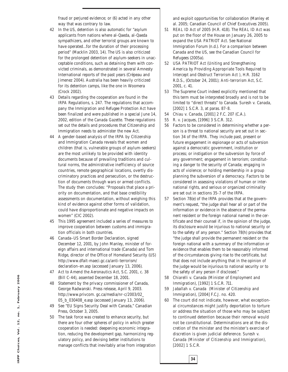fraud or perjured evidence; or (6) acted in any other way that was contrary to law.

- 42 In the US, detention is also automatic for "asylum applicants from nations where al-Qaeda, al-Qaeda sympathizers, and other terrorist groups are known to have operated…for the duration of their processing period" (Macklin 2003, 14). The US is also criticized for the prolonged detention of asylum-seekers in unacceptable conditions, such as detaining them with convicted criminals, as demonstrated in several Amnesty International reports of the past years (Crépeau and Jimenez 2004). Australia has been heavily criticized for its detention camps, like the one in Woomera (Crock 2002).
- 43 Details regarding the cooperation are found in the *IRPA* Regulations, s. 247. The regulations that accompany the *Immigration and Refugee Protection Act* have been finalized and were published in a special June 14, 2002, edition of the *Canada Gazette*. These regulations set out the details and procedures that Citizenship and Immigration needs to administer the new Act.
- 44 A gender-based analysis of the *IRPA* by Citizenship and Immigration Canada reveals that women and children (that is, vulnerable groups of asylum-seekers) are the most unlikely to be provided with identity documents because of prevailing traditions and cultural norms, the administrative inefficiency of source countries, remote geographical locations, overtly discriminatory practices and persecution, or the destruction of documents through wars or armed conflicts. The study then concludes: "Proposals that place a priority on documentation, and that base credibility assessments on documentation, without weighing this kind of evidence against other forms of validation, could have disproportionate and negative impacts on women" (CIC 2002).
- 45 This 1995 agreement included a series of measures to improve cooperation between customs and immigration officials in both countries.
- 46 Canada–US Smart Border Declaration, signed December 12, 2001, by John Manley, minister of foreign affairs and international trade (Canada) and Tom Ridge, director of the Office of Homeland Security (US) http://www.dfait-maeci.gc.ca/anti-terrorism/ declaration-en.asp (accessed January 13, 2006).
- 47 *Act to Amend the Aeronautics Act*, S.C. 2001, c. 38 (Bill C-44), assented December 18, 2001.
- 48 Statement by the privacy commissioner of Canada, George Radwanski. Press release, April 9, 2003. http://www.privcom. gc.ca/media/nr-c/2003/02\_ 05\_b\_030408\_e.asp (accessed January 13, 2006).
- 49 See "EU Signs Security Deal with Canada," Canadian Press, October 3, 2005.
- 50 The task force was created to enhance security, but there are four other spheres of policy in which greater cooperation is needed: deepening economic integration, reducing the development gap, harmonizing regulatory policy, and devising better institutions to manage conflicts that inevitably arise from integration

and exploit opportunities for collaboration (Manley et al. 2005; Canadian Council of Chief Executives 2005).

- 51 *REAL ID Act* of 2005 (H.R. 418). The *REAL ID Act* was put on the floor of the House on January 26, 2005 to expand the *USA PATRIOT Act*. See National Immigration Forum (n.d.). For a comparison between Canada and the US, see the Canadian Council for Refugees (2005a).
- 52 *USA PATRIOT Act (Uniting and Strengthening America by Providing Appropriate Tools Required to Intercept and Obstruct Terrorism Act )*, H.R. 3162 R.D.S., (October 24, 2001); *Anti-terrorism Act*, S.C. 2001, c. 41.
- 53 The Supreme Court indeed explicitly mentioned that this term must be interpreted broadly and is not to be limited to "direct threats" to Canada. *Suresh v. Canada*, [2002] 1 S.C.R. 3, at paras. 87-8.
- 54 *Chiau v. Canada*, [2001] 2 F.C. 207 (C.A.).
- 55 *R. v. Jacques*, [1996] 3 S.C.R. 312.
- 56 Factors to be considered in determining whether a person is a threat to national security are set out in section 34 of the *IRPA*. They include past, present or future engagement in espionage or acts of subversion against a democratic government, institution or process; or instigation or the subversion by force of any government; engagement in terrorism; constituting a danger to the security of Canada; engaging in acts of violence; or holding membership in a group planning the subversion of a democracy. Factors to be considered in assessing violations of human or international rights, and serious or organized criminality are set out in sections 35-7 of the *IRPA.*
- 57 Section 78(e) of the *IRPA* provides that at the government's request, "the judge shall hear all or part of the information or evidence in the absence of the permanent resident or the foreign national named in the certificate and their counsel if, in the opinion of the judge, its disclosure would be injurious to national security or to the safety of any person." Section 78(h) provides that "the judge shall provide the permanent resident or the foreign national with a summary of the information or evidence that enables them to be reasonably informed of the circumstances giving rise to the certificate, but that does not include anything that in the opinion of the judge would be injurious to national security or to the safety of any person if disclosed."
- 58 *Chiarelli v. Canada (Minister of Employment and Immigration)*, [1992] 1 S.C.R. 711.
- 59 *Jaballah v. Canada (Minister of Citizenship and Immigration),* [2004] F.C.J. no. 420.

**34**

60 The court did not indicate, however, what exceptional circumstances might justify deportation to torture or address the situation of those who may be subject to continued detention because their removal would not be constitutional. Determinations are at the discretion of the minister and the minister's exercise of discretion is given judicial deference. *Suresh v. Canada (Minister of Citizenship and Immigration),* [2002] 1 S.C.R.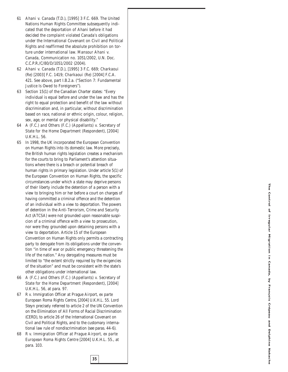- 61 *Ahani v. Canada* (T.D.), [1995] 3 F.C. 669. The United Nations Human Rights Committee subsequently indicated that the deportation of Ahani before it had decided the complaint violated Canada's obligations under the International Covenant on Civil and Political Rights and reaffirmed the absolute prohibition on torture under international law. *Mansour Ahani v. Canada,* Communication no. 1051/2002, U.N. Doc. C.C.P.R./C/80/D/1051/2002 (2004).
- 62 *Ahani v. Canada* (T.D.), [1995] 3 F.C. 669; *Charkaoui (Re)* [2003] F.C. 1419; *Charkaoui (Re) [*2004] F.C.A. 421. See above, part I.B.2.a. ("Section 7: Fundamental Justice Is Owed to Foreigners").
- 63 Section 15(1) of the Canadian Charter states: "Every individual is equal before and under the law and has the right to equal protection and benefit of the law without discrimination and, in particular, without discrimination based on race, national or ethnic origin, colour, religion, sex, age, or mental or physical disability."
- 64 *A (F.C.) and Others (F.C.) (Appellants) v. Secretary of State for the Home Department (Respondent)*, [2004] U.K.H.L. 56.
- 65 In 1998, the UK incorporated the European Convention on Human Rights into its domestic law. More precisely, the British human rights legislation creates a mechanism for the courts to bring to Parliament's attention situations where there is a breach or potential breach of human rights in primary legislation. Under article 5(1) of the European Convention on Human Rights, the specific circumstances under which a state may deprive persons of their liberty include the detention of a person with a view to bringing him or her before a court on charges of having committed a criminal offence and the detention of an individual with a view to deportation. The powers of detention in the *Anti-Terrorism, Crime and Security Act* (*ATCSA*) were not grounded upon reasonable suspicion of a criminal offence with a view to prosecution, nor were they grounded upon detaining persons with a view to deportation. Article 15 of the European Convention on Human Rights only permits a contracting party to derogate from its obligations under the convention "in time of war or public emergency threatening the life of the nation." Any derogating measures must be limited to "the extent strictly required by the exigencies of the situation" and must be consistent with the state's other obligations under international law.
- 66 *A (F.C.) and Others (F.C.) (Appellants) v. Secretary of State for the Home Department (Respondent)*, [2004] U.K.H.L. 56, at para. 97.
- 67 *R v. Immigration Officer at Prague Airport, ex parte European Roma Rights Centre*, [2004] U.K.H.L. 55. Lord Steyn precisely referred to article 2 of the UN Convention on the Elimination of All Forms of Racial Discrimination (CERD), to article 26 of the International Covenant on Civil and Political Rights, and to the customary international law rule of nondiscrimination (see paras. 44-6).
- 68 *R v. Immigration Officer at Prague Airport, ex parte European Roma Rights Centre* [2004] U.K.H.L. 55., at para. 103.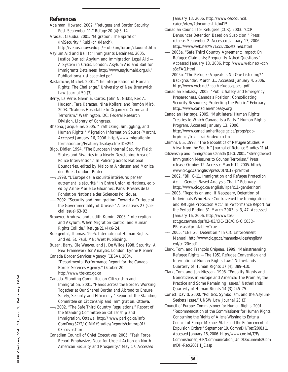#### **References**

- Adelman, Howard. 2002. "Refugees and Border Security Post-September 11." *Refuge* 20 (4):5-14.
- Aradau, Claudia. 2001. "Migration: The Spiral of (In)Security." *Rubikon* (March).
- http://venus.ci.uw.edu.pl/~rubikon/forum/claudia1.htm Asylum Aid and Bail for Immigrants Detainees. 2005.
- *Justice Denied: Asylum and Immigration Legal Aid — A System in Crisis*. London: Asylum Aid and Bail for Immigrants Detainees. http://www.asylumaid.org.uk/ Publications/Justicedenied.pdf
- Bastarache, Michel. 2001. "The Interpretation of Human Rights: The Challenge." *University of New Brunswick Law Journal* 50 (3).
- Berry, La Verle, Glenn E. Curtis, John N. Gibbs, Rex A. Hudson, Tara Karacan, Nina Kollars, and Ramón Miró. 2003. "Nations Hospitable to Organized Crime and Terrorism." Washington, DC: Federal Research Division, Library of Congress.
- Bhabha, Jacqueline. 2005. "Trafficking, Smuggling, and Human Rights." *Migration Information Source* (March). Accessed January 16, 2006. http://www.migrationin formation.org/Feature/display.cfm?ID=294
- Bigo, Didier. 1994. "The European Internal Security Field: Stakes and Rivalries in a Newly Developing Area of Police Intervention." In *Policing across National Boundaries*, edited by Malcolm Anderson and Monica den Boer. London: Pinter.
- ——. 1998. "L'Europe de la sécurité intérieure: penser autrement la sécurité." In *Entre Union et Nations*, edited by Anne-Marie Le Gloannec. Paris: Presses de la Fondation Nationale des Sciences Politiques.
- ——. 2002. "Security and Immigration: Toward a Critique of the Governmentality of Unease." *Alternatives* 27 (special issue):63-92.
- Brouwer, Andrew, and Judith Kumin. 2003. "Interception and Asylum: When Migration Control and Human Rights Collide." *Refuge* 21 (4):6-24.
- Buergental, Thomas. 1995. *International Human Rights*, 2nd ed. St. Paul, MN: West Publishing.
- Buzan, Barry, Ole Waever, and J. De Wilde 1998. *Security: A New Framework for Analysis*. London: Lynne Rienner.
- Canada Border Services Agency (CBSA). 2004. "Departmental Performance Report for the Canada Border Services Agency." October 20. http://www.tbs-sct.gc.ca
- Canada. Standing Committee on Citizenship and Immigration. 2001. "Hands across the Border: Working Together at Our Shared Border and Abroad to Ensure Safety, Security and Efficiency." *Report of the Standing Committee on Citizenship and Immigration*. Ottawa.
- ——. 2002. "The Safe Third Country Regulations." *Report of the Standing Committee on Citizenship and Immigration*. Ottawa. http:// www.parl.gc.ca/Info ComDoc/37/2/ CIMM/Studies/Reports/cimmrp01/ 03-cov-e.htm
- Canadian Council of Chief Executives. 2005. "Task Force Report Emphasizes Need for Urgent Action on North American Security and Prosperity." May 17. Accessed

January 13, 2006. http://www.ceocouncil. ca/en/view/?document\_id=415

- Canadian Council for Refugees (CCR). 2003. "CCR Denounces Detention Based on Suspicion." Press release. September 2. Accessed January 13, 2006. http://www.web.net/%7Eccr/20detained.html
- ——. 2005a. "Safe Third Country Agreement: Impact On Refugee Claimants; Frequently Asked Questions." Accessed January 13, 2006. http://www.web.net/~ccr/ s3cFAQ.html
- ——. 2005b. "The Refugee Appeal: Is No One Listening?" *Backgrounder*, March 31. Accessed January 4, 2006. http://www.web.net/~ccr/refugeeappeal.pdf
- Canadian Embassy. 2005. "Public Safety and Emergency Preparedness. Canada's Position: Consolidating Security Resources; Protecting the Public." February. http://www.canadianembassy.org
- Canadian Heritage. 2005. "Multilateral Human Rights Treaties to Which Canada Is a Party." Human Rights Program. Accessed January 13, 2006. http://www.canadianheritage.gc.ca/progs/pdphrp/docs/treat-trait/index\_e.cfm
- Chimni, B.S. 1998. "The Geopolitics of Refugee Studies: A View from the South." *Journal of Refugee Studies* 11 (4).
- Citizenship and Immigration Canada (CIC). 2001. "Strengthened Immigration Measures to Counter Terrorism." Press release. October 12. Accessed March 12, 2005. http:// www.cic.gc.ca/english/press/01/0119-pre.html
- ——. 2002. "Bill C-11, *Immigration and Refugee Protection Act* — Gender-Based Analysis Chart." February. http://www.cic.gc.ca/english/irpa/c11-gender.html
- ——. 2003. "Reports on and, if Necessary, Detention of Individuals Who Have Contravened the *Immigration and Refugee Protection Act*." In *Performance Report for the Period Ending 31 March 2003*, s. 3, 47. Accessed January 16, 2006. http://www.tbssct.gc.ca/rma/dpr/02-03/CIC-CIC/CIC-CIC03D-PR\_e.asp?printable=True
- ——. 2005. "ENF 20: Detention." In *CIC Enforcement Manual*. http://www.cic.gc.ca/manuals-uides/english/ enf/enf20e.pdf
- Clark, Tom, and François Crépeau. 1999. "Mainstreaming Refugee Rights — The 1951 Refugee Convention and International Human Rights Law." *Netherlands Quarterly of Human Rights* 17 (4): 389-410.
- Clark, Tom, and Jan Niessan. 1998. "Equality Rights and Noncitizens in Europe and America: The Promise, the Practice and Some Remaining Issues." *Netherlands Quarterly of Human Rights* 14 (3):245-75.
- Corlett, David. 2000. "Politics, Symbolism, and the Asylum-Seekers Issue." *UNSW Law Journal* 23 (3).
- Council of Europe. Commissioner for Human Rights. 2001. "Recommendation of the Commissioner for Human Rights Concerning the Rights of Aliens Wishing to Enter a Council of Europe Member State and the Enforcement of Expulsion Orders." September 19. CommDH/Rec(2001) 1. Accessed January 16, 2006. http://www.coe.int/T/E/ Commissioner\_H.R/Communication\_Unit/Documents/Com mDH-Rec(2001)1\_E.asp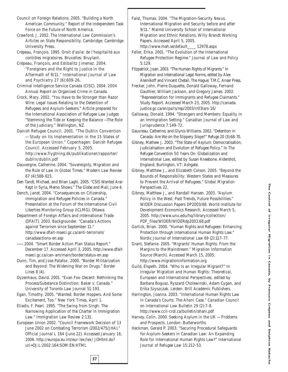Council on Foreign Relations. 2005. "Building a North American Community." Report of the Independent Task Force on the Future of North America.

Crawford, J. 2002. *The International Law Commission's Articles on State Responsibility.* Cambridge: Cambridge University Press.

Crépeau, François. 1995. *Droit d'asile: de l'hospitalité aux contrôles migratoires*. Bruxelles: Bruylant.

- Crépeau, François, and Estibalitz Jimenez. 2004. "Foreigners and the Right to Justice in the Aftermath of 9/11." *International Journal of Law and Psychiatry* 27 (6):609-26.
- Criminal Intelligence Service Canada (CISC). 2004. *2004 Annual Report on Organized Crime in Canada.*
- Crock, Mary. 2002. "You Have to Be Stronger than Razor Wire: Legal Issues Relating to the Detention of Refugees and Asylum-Seekers." Article prepared for the International Association of Refugee Law Judges "Stemming the Tide or Keeping the Balance —The Role of the Judiciary." Wellington, NZ.
- Danish Refugee Council. 2001. "The Dublin Convention — Study on Its Implementation in the 15 States of the European Union." Copenhagen: Danish Refugee Council. Accessed February 3, 2005. http://www.flygtning.dk/publikationer/rapporter/ dublin/dublin.pdf
- Dauvergne, Catherine. 2004. "Sovereignty, Migration and the Rule of Law in Global Times." *Modern Law Review* 67 (4):588-615.
- Den Tandt, Michael, and Brian Laghi. 2005. "CSIS Wanted Arar Kept in Syria, Memo Shows." *The Globe and Mail*, June 4.
- Dench, Janet. 2004. "Consequences on Citizenship, Immigration and Refugee Policies in Canada." Presentation at the Forum of the International Civil Liberties Monitoring Group (ICLMG), Ottawa.
- Department of Foreign Affairs and International Trade (DFAIT). 2003. *Backgrounder*. "Canada's Actions against Terrorism since September 11." http://www.dfait-maeci.gc.ca/anti-terrorism/ canadaactions-en.asp

——. 2004. "Smart Border Action Plan Status Report." December 17. Accessed April 3, 2005. http://www.dfaitmaeci.gc.ca/can-am/main/border/status-en.asp

Dunn, Tim, and Jose Palafox. 2000. "Border Militarization and Beyond: The Widening War on Drugs." *Border Lines* 8 (4).

Dyzenhaus, David. 2001. "Evan Fox-Decent: Rethinking the Process/Substance Distinction: *Baker v. Canada.*" *University of Toronto Law Journal* 51:193.

Egan, Timothy. 2005. "Wanted: Border Hoppers. And Some Excitement, Too." *New York Times*, April 1.

Eliadis, F. Pearl. 1995. "The Swing from *Singh*: The Narrowing Application of the Charter in Immigration Law." *Immigration Law Review* 2:131.

European Union 2002. "Council Framework Decision of 13 June 2002 on Combating Terrorism (2002/475/JHA)." *Official Journal* L 164 (June 22). Accessed January 16, 2006. http://europa.eu.int/eur-lex/lex/ JOHtml.do? uri=OJ:L:2002:164:SOM:EN:HTML

Faist, Thomas. 2004. "The Migration-Security Nexus. International Migration and Security before and after 9/11." Malmö University School of International Migration and Ethnic Relations, Willy Brandt Working Papers. Accessed April 5, 2005.

http://www.mah.se/default\_\_\_\_ 12978.aspx Feller, Erika. 2001. "The Evolution of the International Refugee Protection Regime." *Journal of Law and Policy* 5:129.

- Fitzpatrick, Joan. 2003. "The Human Rights of Migrants." In *Migration and International Legal Norms*, edited by Alex Aleinikoff and Vincent Chetail. The Hague: T.M.C. Anser Press.
- Frecker, John, Pierre Duquette, Donald Galloway, Fernand Gauthier, William Jackson, and Gregory James. 2002. "Representation for Immigrants and Refugee Claimants." Study Report. Accessed March 23, 2005. http://canada. justice.gc.ca/en/ps/rs/rep/2003/rr03lars-16/
- Galloway, Donald. 1994. "Strangers and Members: Equality in an Immigration Setting." *Canadian Journal of Law and Jurisprudence* 7:149-72.
- Gauvreau, Catherine, and Glynis Williams. 2002. "Detention in Canada: Are We on the Slippery Slope?" *Refuge* 20 (3):68-70.
- Gibney, Mathew J. 2003. "The State of Asylum: Democratisation, Judicialisation and Evolution of Refugee Policy." In *The Refugee Convention 50 Years On: Globalization and International Law,* edited by Susan Kneebone. Aldershot, England; Burlington, VT: Ashgate.
- Gibney, Matthew J., and Elizabeth Colson. 2005. "Beyond the Bounds of Responsibility: Western States and Measures to Prevent the Arrival of Refugees." *Global Migration Perspectives* 22.
- Gibney, Matthew J., and Randall Hansen. 2003. "Asylum Policy in the West: Past Trends, Future Possibilities." WIDER Discussion Papers DP2003/68. World Institute for Development Economics Research. Accessed March 5, 2005. http://www.unu.edu/hq/library/collection/ PDF\_files/WIDER/WIDERdp2003.68.pdf
- Gorlick, Brian. 2000. "Human Rights and Refugees: Enhancing Protection through International Human Rights Law." *Nordic Journal of International Law* 69 (2):117-77.

Grant, Stefanie. 2005. "Migrants' Human Rights: From the Margins to the Mainstream." *Migration Information Source* (March). Accessed March 15, 2005. http://www.migrationinformation.org

Guild, Elspeth. 2004. "Who Is an Irregular Migrant?" In *Irregular Migration and Human Rights: Theoretical, European and International Perspectives,* edited by Barbara Bogusz, Ryszard Cholewinski, Adam Cygan, and Erika Szyszczak. Leiden: Brill Academic Publishers.

Harrington, Joanna. 2003. "International Human Rights Law in Canada's Courts: The *Ahani* Case." *Canadian Council on International Law Bulletin* 29 (2):7-8. http://www.ccil-crdi.ca/bulletin/ahani.pdf

- Harvey, Colin. 2000. *Seeking Asylum in the UK Problems and Prospects*. London: Butterworths.
- Heckman, Gerald P. 2003. "Securing Procedural Safeguards for Asylum-Seekers in Canadian Law: An Expanding Role for International Human Rights Law?" *International Journal of Refugee Law* 15:212-53.

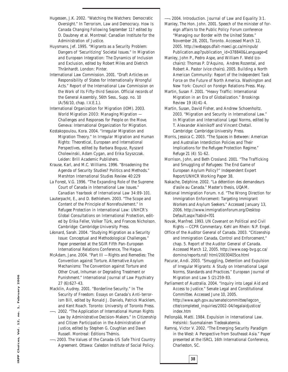- Hugessen, J.K. 2002. "Watching the Watchers: Democratic Oversight." In *Terrorism, Law and Democracy. How Is Canada Changing Following September 11*? edited by D. Daubney et al. Montreal: Canadian Institute for the Administration of Justice.
- Huysmans, Jef. 1995. "Migrants as a Security Problem: Dangers of 'Securitizing' Societal Issues." In *Migration and European Integration: The Dynamics of Inclusion and Exclusion*, edited by Robert Miles and Dietrich Thränhardt. London: Pinter.
- International Law Commission. 2001. "Draft Articles on Responsibility of States for Internationally Wrongful Acts." *Report of the International Law Commission on the Work of Its Fifty-third Session*. Official records of the General Assembly, 56th Sess., Supp. no. 10 (A/56/10, chap. I.V.E.1.).
- International Organization for Migration (IOM). 2003. *World Migration 2003: Managing Migration — Challenges and Responses for People on the Move*. Geneva: International Organization for Migration.
- Kostakopoulou, Kora. 2004. "Irregular Migration and Migration Theory." In *Irregular Migration and Human Rights: Theoretical, European and International Perspectives*, edited by Barbara Bogusz, Ryszard Cholewinski, Adam Cygan, and Erika Szyszczak. Leiden: Brill Academic Publishers.
- Krause, Karl, and M.C. Williams. 1996. "Broadening the Agenda of Security Studies? Politics and Methods." *Mershton International Studies Review* 40:229
- La Forest, V.G. 1996. "The Expanding Role of the Supreme Court of Canada in International Law Issues." *Canadian Yearbook of International Law 34:89-101*.
- Lauterpacht, E., and D. Bethlehem. 2003. "The Scope and Content of the Principle of Nonrefoulement." In *Refugee Protection in International Law: UNHCR's Global Consultations on International Protection*, edited by Erika Feller, Volker Türk, and Frances Nicholson. Cambridge: Cambridge University Press.
- Léonard, Sarah. 2004. "Studying Migration as a Security Issue: Conceptual and Methodological Challenges." Paper presented at the SGIR Fifth Pan-European International Relations Conference, The Hague.
- McAdam, Jane. 2004. "Part III Rights and Remedies: The Convention against Torture. Alternative Asylum Mechanisms: The Convention against Torture and Other Cruel, Inhuman or Degrading Treatment or Punishment." *International Journal of Law Psychiatry* 27 (6):627-43.
- Macklin, Audrey. 2001. "Borderline Security." In *The Security of Freedom: Essays on Canada's Anti-terrorism Bill,* edited by Ronald J. Daniels, Patrick Macklem, and Kent Roach. Toronto: University of Toronto Press.
- ——. 2002. "The Application of International Human Rights Law by Administrative Decision-Makers." In *Citizenship and Citizen Participation in the Administration of Justice*, edited by Stephen G. Coughlan and Dawn Russell. Montreal: Éditions Thémis.
- ——. 2003. *The Values of the Canada-US Safe Third Country Agreement.* Ottawa: Caledon Institute of Social Policy.

——. 2004. Introduction. *Journal of Law and Equality* 3:1.

- Manley, The Hon. John. 2001. Speech of the minister of foreign affairs to the Public Policy Forum conference "Managing our Border with the United States." November 28, 2001, Toronto. Accessed March 12, 2005. http://webapps.dfait-maeci.gc.ca/minpub/ Publication.asp?publication\_id=378840&Language=E
- Manley, John P., Pedro Aspe, and William F. Weld (cochairs): Thomas P. D'Aquino, Andres Rozental, and Robert A. Pastor (vice chairs). 2005. *Building a North American Community: Report of the Independent Task Force on the Future of North America*. Washington and New York: Council on Foreign Relations Press. May.
- Martin, Susan F. 2001. "Heavy Traffic: International Migration in an Era of Globalization." *Brookings Review* 19 (4):41-4.
- Martin, Susan, David Fisher, and Andrew Schoenholtz. 2003. "Migration and Security in International Law." In *Migration and International Legal Norms*, edited by T. Alexander Aleinikoff and Vincent Chetail. Cambridge: Cambridge University Press.
- Morris, Jessica C. 2003. "The Spaces in Between: American and Australian Interdiction Policies and Their Implications for the Refugee Protection Regime." *Refuge* 21 (4): 51-62.
- Morrison, John, and Beth Crosland. 2001. "The Trafficking and Smuggling of Refugees: The End Game of European Asylum Policy?" Independent Expert Report/UNHCR Working Paper 38.
- Nakache, Delphine. 2002. "La détention des demandeurs d'asile au Canada." Master's thesis, UQAM.
- National Immigration Forum. n.d. "The Wrong Direction for Immigration Enforcement: Targeting Immigrant Workers and Asylum Seekers." Accessed January 13, 2006. http://www.immigrationforum.org/Desktop Default.aspx?tabid=701
- Novak, Manfred. 1993. *UN Covenant on Political and Civil Rights — CCPR Commentary*. Kehl am Rhein: N.P. Engel.
- Office of the Auditor General of Canada. 2003. "Citizenship and Immigration Canada, Control and Enforcement," chap. 5. *Report of the Auditor General of Canada*. Accessed March 12, 2005. http://www.oag-bvg.gc.ca/ domino/reports.nsf/ html/20030405ce.html
- Pacurar, Andi. 2003. "Smuggling, Detention and Expulsion of Irregular Migrants: A Study on International Legal Norms, Standards and Practices." *European Journal of Migration and Law* 5 (2):259-83.

Parliament of Australia. 2004. "Inquiry into Legal Aid and Access to Justice." Senate Legal and Constitutional Committee. Accessed June 10, 2005. http://www.aph.gov.au/senate/committee/legcon\_ ctte/completed\_inquiries/2002-04/legalaidjustice/ index.htm

Pellonpää, Matti. 1984. *Expulsion in International Law*. Helsinki: Suomalainen Tiedeakatemia.

**38**

Ramraj, Victor V. 2002. "The Emerging Security Paradigm in the West: A Perspective from Southeast Asia." Paper presented at the ISRCL 16th International Conference, Charleston, SC.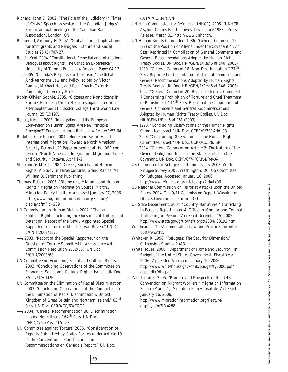Richard, John D. 2002. "The Role of the Judiciary in Times of Crisis." Speech presented at the Canadian Judges' Forum, annual meeting of the Canadian Bar Association, London, ON.

Richmond, Anthony H. 2002. "Globalization: Implications for Immigrants and Refugees." *Ethnic and Racial Studies* 25 (5):707-27.

Roach, Kent. 2004. "Constitutional, Remedial and International Dialogues about Rights: The Canadian Experience." University of Toronto Public Law Research Paper 04-13.

——. 2005. "Canada's Response to Terrorism." In *Global Anti-terrorism Law and Policy*, edited by Victor Ramraj, Michael Hor, and Kent Roach. Oxford: Cambridge University Press.

Robin-Olivier, Sophie. 2005. "Citizens and Noncitizens in Europe: European Union Measures against Terrorism after September 11." *Boston College Third World Law Journal* 25 (1):197.

Rogers, Nicolas. 2003. "Immigration and the European Convention on Human Rights: Are New Principles Emerging?" *European Human Rights Law Review* 1:53-64.

Rudolph, Christopher. 2004. "Homeland Security and International Migration: Toward a North American Security Perimeter?" Paper presented at the IRPP conference "North American Integration: Migration, Trade and Security." Ottawa, April 1-2.

Stackhouse, Max L. 1984. *Creeds, Society and Human Rights: A Study in Three Cultures*. Grand Rapids, MI: William B. Eerdmans Publishing.

Thomas, Rebeka. 2005. "Biometrics, Migrants and Human Rights." *Migration Information Source* (March). Migration Policy Institute. Accessed January 17, 2006. http://www.migrationinformation.org/Feature/ display.cfm?id=289

UN Commission on Human Rights. 2002. "Civil and Political Rights, Including the Questions of Torture and Detention: Report of the Newly Appointed Special Rapporteur on Torture, Mr. Theo van Boven." UN Doc. E/CN.4/2002/137.

——. 2003. "Report of the Special Rapporteur on the Question of Torture Submitted in Accordance with Commission Resolution 2002/38." UN Doc. E/CN.4/2003/68.

UN Committee on Economic, Social and Cultural Rights. 2003. "Concluding Observations of the Committee on Economic, Social and Cultural Rights: Israel." UN Doc. E/C.12/1/Add.90.

UN Committee on the Elimination of Racial Discrimination. 2003. "Concluding Observations of the Committee on the Elimination of Racial Discrimnation: United Kingdom of Great Britain and Northern Ireland." 63rd Sess. UN Doc. CERD/CC/63/CO/11.

——. 2004. "General Recommendation 30, Discrimination against Noncitizens." 64th Sess. UN Doc. CERD/C/64/Misc.11/rev.3.

UN Committee against Torture. 2005. "Consideration of Reports Submitted by States Parties under Article 19 of the Convention — Conclusions and Recommendations on Canada's Report." UN Doc.

**39**

#### CAT/C/CO/34/CAN.

- UN High Commission for Refugees (UNHCR). 2005. "UNHCR: Asylum Claims Fall to Lowest Level since 1988." Press Release. March 31. http://www.unhcr.ch.
- UN Human Rights Committee. 1986. "General Comment 15 (27) on the Position of Aliens under the Covenant."  $27<sup>th</sup>$ Sess. Reprinted in *Compilation of General Comments and General Recommendations Adopted by Human Rights Treaty Bodies*. UN Doc. HRI/GEN/1/Rev.6 at 140 (2003).
	- 1989. "General Comment 18: Non-Discrimination." 37<sup>th</sup> Sess. Reprinted in *Compilation of General Comments and General Recommendations Adopted by Human Rights Treaty Bodies*. UN Doc. HRI/GEN/1/Rev.6 at 146 (2003).
- ——. 1992. "General Comment 20: Replaces General Comment 7 Concerning Prohibition of Torture and Cruel Treatment or Punishment." 44th Sess. Reprinted in *Compilation of General Comments and General Recommendations Adopted by Human Rights Treaty Bodies*. UN Doc. HRI/GEN/1/Rev.6 at 151 (2003).
- ——. 1998. "Concluding Observations of the Human Rights Committee: Israel." UN Doc. CCPR/C/79/ Add. 93.
- ——. 2003. "Concluding Observations of the Human Rights Committee: Israel." UN Doc. CCPR/CO/78/ISR.
- ——. 2004. "General Comment on Article 2: The Nature of the General Obligation Imposed on States Parties to the Covenant. UN Doc. CCPR/C/74/CRP.4/Rev.6/.
- US Committee for Refugees and Immigrants. 2003. *World Refugee Survey 2003*. Washington, DC: US Committee for Refugees. Accessed January 16, 2006. http://www.refugees.org/article.aspx?id=1406
- US National Commission on Terrorist Attacks upon the United States. 2004. *The 9/11 Commission Report*. Washington, DC: US Government Printing Office.
- US State Department. 2004. "Country Narratives." *Trafficking In Persons Report*, chap. 4. Office to Monitor and Combat Trafficking in Persons. Accessed December 15, 2005. http://www.state.gov/g/tip/rls/tiprpt/2004/ 33192.htm
- Waldman, L. 1992. *Immigration Law and Practice*. Toronto: Butterworths.
- Whitaker, R. 1998. "Refugees: The Security Dimension." *Citizenship Studies* 2:413.
- White House. 2006. "Department of Homeland Security." In *Budget of the United States Government: Fiscal Year 2006: Appendix.* Accessed January 16, 2006. http://www.whitehouse.gov/omb/budget/fy2006/pdf/ appendix/dhs.pdf

Yau, Jennifer. 2005. "Promise and Prospects of the UN's Convention on Migrant Workers." *Migration Information Source* (March 1). Migration Policy Institute. Accessed January 16, 2006.

http://www.migrationinformation.org/Feature/ display.cfm?ID=288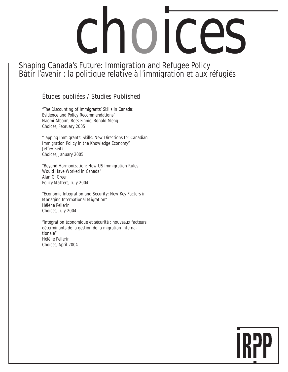# choices

Shaping Canada's Future: Immigration and Refugee Policy Bâtir l'avenir : la politique relative à l'immigration et aux réfugiés

# Études publiées / Studies Published

"The Discounting of Immigrants' Skills in Canada: Evidence and Policy Recommendations" Naomi Alboim, Ross Finnie, Ronald Meng *Choices*, February 2005

"Tapping Immigrants' Skills: New Directions for Canadian Immigration Policy in the Knowledge Economy" Jeffey Reitz *Choices*, January 2005

"Beyond Harmonization: How US Immigration Rules Would Have Worked in Canada" Alan G. Green *Policy Matters*, July 2004

"Economic Integration and Security: New Key Factors in Managing International Migration" Hélène Pellerin *Choices*, July 2004

"Intégration économique et sécurité : nouveaux facteurs déterminants de la gestion de la migration internationale" Hélène Pellerin *Choices*, April 2004

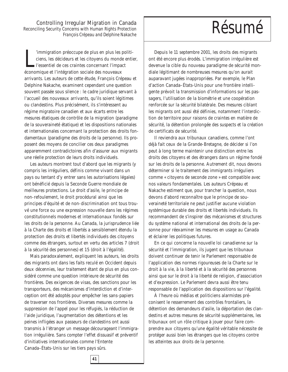Controlling Irregular Migration in Canada<br>
iling Security Concerns with Human Rights Protection<br>  $\mathsf{R}$ ésum $\hat{\Theta}$ Reconciling Security Concerns with Human Rights Protection *François Crépeau and Delphine Nakache*

l'immigration préoccupe de plus en plus les<br>ciens, les décideurs et les citoyens du mond<br>l'essentiel de ces craintes concernant l'impa<br>économique et l'intégration sociale des nouveaux 'immigration préoccupe de plus en plus les politiciens, les décideurs et les citoyens du monde entier, l'essentiel de ces craintes concernant l'impact arrivants. Les auteurs de cette étude, François Crépeau et Delphine Nakache, examinent cependant une question souvent passée sous silence : le cadre juridique servant à l'accueil des nouveaux arrivants, qu'ils soient légitimes ou clandestins. Plus précisément, ils s'intéressent au régime migratoire canadien et aux écarts entre les mesures étatiques de contrôle de la migration (paradigme de la souveraineté étatique) et les dispositions nationales et internationales concernant la protection des droits fondamentaux (paradigme des droits de la personne). Ils proposent des moyens de concilier ces deux paradigmes apparemment contradictoires afin d'assurer aux migrants une réelle protection de leurs droits individuels.

Les auteurs montrent tout d'abord que les migrants (y compris les irréguliers, définis comme vivant dans un pays ou tentant d'y entrer sans les autorisations légales) ont bénéficié depuis la Seconde Guerre mondiale de meilleures protections. Le droit d'asile, le principe de non-refoulement, le droit procédural ainsi que les principes d'équité et de non-discrimination ont tous trouvé une force ou une expression nouvelle dans les régimes constitutionnels modernes et internationaux fondés sur les droits de la personne. Au Canada, la jurisprudence liée à la Charte des droits et libertés a sensiblement étendu la protection des droits et libertés individuels des citoyens comme des étrangers, surtout en vertu des articles 7 (droit à la sécurité des personnes) et 15 (droit à l'égalité).

Mais paradoxalement, expliquent les auteurs, les droits des migrants ont dans les faits reculé en Occident depuis deux décennies, leur traitement étant de plus en plus considéré comme une question intérieure de sécurité des frontières. Des exigences de visas, des sanctions pour les transporteurs, des mécanismes d'interdiction et d'interception ont été adoptés pour empêcher les sans-papiers de traverser nos frontières. Diverses mesures comme la suppression de l'appel pour les réfugiés, la réduction de l'aide juridique, l'augmentation des détentions et les peines infligées aux passeurs de clandestins ont aussi transmis à l'étranger un message décourageant l'immigration irrégulière. Sans compter l'effet dissuasif et préventif d'initiatives internationales comme l'Entente Canada–États-Unis sur les tiers pays sûrs.

**41**

Depuis le 11 septembre 2001, les droits des migrants ont été encore plus érodés. L'immigration irrégulière est devenue la cible du nouveau paradigme de sécurité mondiale légitimant de nombreuses mesures qu'on aurait auparavant jugées inappropriées. Par exemple, le Plan d'action Canada–États-Unis pour une frontière intelligente prévoit la transmission d'informations sur les passagers, l'utilisation de la biométrie et une coopération renforcée sur la sécurité bilatérale. Des mesures ciblant les migrants ont aussi été définies, notamment l'interdiction de territoire pour raisons de craintes en matière de sécurité, la détention prolongée des suspects et la création de certificats de sécurité.

Il reviendra aux tribunaux canadiens, comme l'ont déjà fait ceux de la Grande-Bretagne, de décider si l'on peut à long terme maintenir une distinction entre les droits des citoyens et des étrangers dans un régime fondé sur les droits de la personne. Autrement dit, nous devons déterminer si le traitement des immigrants irréguliers comme « citoyens de seconde zone » est compatible avec nos valeurs fondamentales. Les auteurs Crépeau et Nakache estiment que, pour trancher la question, nous devons d'abord reconnaître que le principe de souveraineté territoriale ne peut justifier aucune violation systémique durable des droits et libertés individuels. Ils recommandent de s'inspirer des mécanismes et structures du système national et international des droits de la personne pour réexaminer les mesures en usage au Canada et éclairer les politiques futures.

En ce qui concerne la nouvelle loi canadienne sur la sécurité et l'immigration, ils jugent que les tribunaux doivent continuer de tenir le Parlement responsable de l'application des normes rigoureuses de la Charte sur le droit à la vie, à la liberté et à la sécurité des personnes ainsi que sur le droit à la liberté de religion, d'association et d'expression. Le Parlement devra aussi être tenu responsable de l'application des dispositions sur l'égalité.

À l'heure où médias et politiciens alarmistes préconisent le resserrement des contrôles frontaliers, la détention des demandeurs d'asile, la déportation des clandestins et autres mesures de sécurité supplémentaires, les tribunaux ont un rôle critique à jouer pour faire comprendre aux citoyens qu'une égalité véritable nécessite de protéger aussi bien les étrangers que les citoyens contre les atteintes aux droits de la personne.